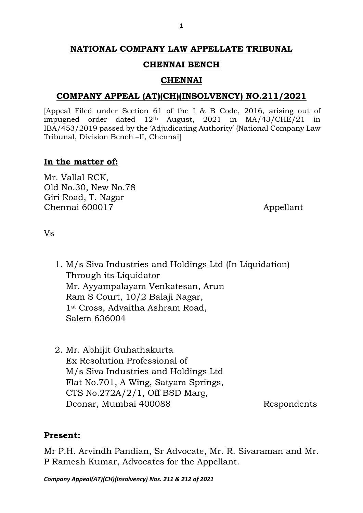#### 1

# **NATIONAL COMPANY LAW APPELLATE TRIBUNAL**

# **CHENNAI BENCH**

# **CHENNAI**

# **COMPANY APPEAL (AT)(CH)(INSOLVENCY) NO.211/2021**

[Appeal Filed under Section 61 of the I & B Code, 2016, arising out of impugned order dated 12th August, 2021 in MA/43/CHE/21 in IBA/453/2019 passed by the 'Adjudicating Authority' (National Company Law Tribunal, Division Bench –II, Chennai]

# **In the matter of:**

Mr. Vallal RCK, Old No.30, New No.78 Giri Road, T. Nagar Chennai 600017 Appellant

Vs

- 1. M/s Siva Industries and Holdings Ltd (In Liquidation) Through its Liquidator Mr. Ayyampalayam Venkatesan, Arun Ram S Court, 10/2 Balaji Nagar, 1st Cross, Advaitha Ashram Road, Salem 636004
- 2. Mr. Abhijit Guhathakurta Ex Resolution Professional of M/s Siva Industries and Holdings Ltd Flat No.701, A Wing, Satyam Springs, CTS No.272A/2/1, Off BSD Marg, Deonar, Mumbai 400088 Respondents

# **Present:**

Mr P.H. Arvindh Pandian, Sr Advocate, Mr. R. Sivaraman and Mr. P Ramesh Kumar, Advocates for the Appellant.

*Company Appeal(AT)(CH)(Insolvency) Nos. 211 & 212 of 2021*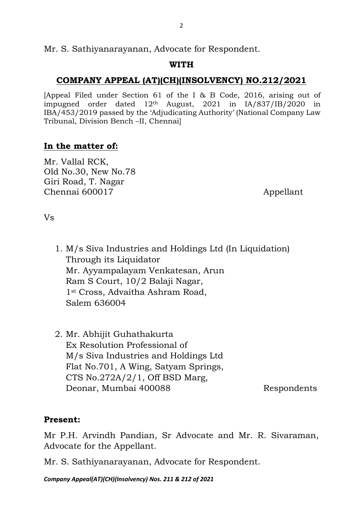Mr. S. Sathiyanarayanan, Advocate for Respondent.

# **WITH**

# **COMPANY APPEAL (AT)(CH)(INSOLVENCY) NO.212/2021**

[Appeal Filed under Section 61 of the I & B Code, 2016, arising out of impugned order dated 12th August, 2021 in IA/837/IB/2020 in IBA/453/2019 passed by the 'Adjudicating Authority' (National Company Law Tribunal, Division Bench –II, Chennai]

# **In the matter of:**

Mr. Vallal RCK, Old No.30, New No.78 Giri Road, T. Nagar Chennai 600017 Appellant

Vs

- 1. M/s Siva Industries and Holdings Ltd (In Liquidation) Through its Liquidator Mr. Ayyampalayam Venkatesan, Arun Ram S Court, 10/2 Balaji Nagar, 1st Cross, Advaitha Ashram Road, Salem 636004
- 2. Mr. Abhijit Guhathakurta Ex Resolution Professional of M/s Siva Industries and Holdings Ltd Flat No.701, A Wing, Satyam Springs, CTS No.272A/2/1, Off BSD Marg, Deonar, Mumbai 400088 Respondents

# **Present:**

Mr P.H. Arvindh Pandian, Sr Advocate and Mr. R. Sivaraman, Advocate for the Appellant.

Mr. S. Sathiyanarayanan, Advocate for Respondent.

*Company Appeal(AT)(CH)(Insolvency) Nos. 211 & 212 of 2021*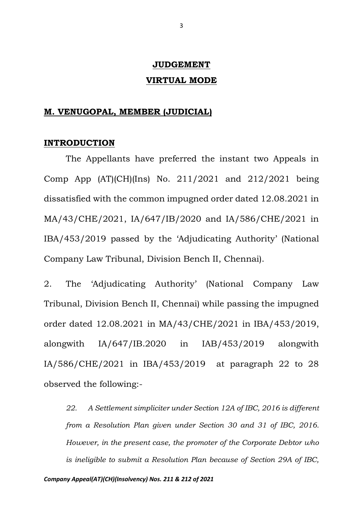# **JUDGEMENT VIRTUAL MODE**

## **M. VENUGOPAL, MEMBER (JUDICIAL)**

## **INTRODUCTION**

The Appellants have preferred the instant two Appeals in Comp App (AT)(CH)(Ins) No. 211/2021 and 212/2021 being dissatisfied with the common impugned order dated 12.08.2021 in MA/43/CHE/2021, IA/647/IB/2020 and IA/586/CHE/2021 in IBA/453/2019 passed by the 'Adjudicating Authority' (National Company Law Tribunal, Division Bench II, Chennai).

2. The 'Adjudicating Authority' (National Company Law Tribunal, Division Bench II, Chennai) while passing the impugned order dated 12.08.2021 in MA/43/CHE/2021 in IBA/453/2019, alongwith IA/647/IB.2020 in IAB/453/2019 alongwith IA/586/CHE/2021 in IBA/453/2019 at paragraph 22 to 28 observed the following:-

*22. A Settlement simpliciter under Section 12A of IBC, 2016 is different from a Resolution Plan given under Section 30 and 31 of IBC, 2016. However, in the present case, the promoter of the Corporate Debtor who is ineligible to submit a Resolution Plan because of Section 29A of IBC,*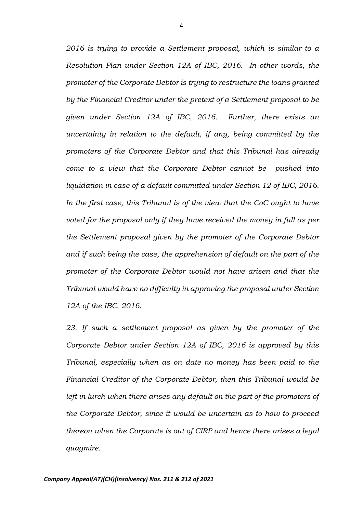*2016 is trying to provide a Settlement proposal, which is similar to a Resolution Plan under Section 12A of IBC, 2016. In other words, the promoter of the Corporate Debtor is trying to restructure the loans granted by the Financial Creditor under the pretext of a Settlement proposal to be given under Section 12A of IBC, 2016. Further, there exists an uncertainty in relation to the default, if any, being committed by the promoters of the Corporate Debtor and that this Tribunal has already come to a view that the Corporate Debtor cannot be pushed into*  liquidation in case of a default committed under Section 12 of IBC, 2016. *In the first case, this Tribunal is of the view that the CoC ought to have voted for the proposal only if they have received the money in full as per the Settlement proposal given by the promoter of the Corporate Debtor and if such being the case, the apprehension of default on the part of the promoter of the Corporate Debtor would not have arisen and that the Tribunal would have no difficulty in approving the proposal under Section 12A of the IBC, 2016.*

*23. If such a settlement proposal as given by the promoter of the Corporate Debtor under Section 12A of IBC, 2016 is approved by this Tribunal, especially when as on date no money has been paid to the Financial Creditor of the Corporate Debtor, then this Tribunal would be*  left in lurch when there arises any default on the part of the promoters of *the Corporate Debtor, since it would be uncertain as to how to proceed thereon when the Corporate is out of CIRP and hence there arises a legal quagmire.*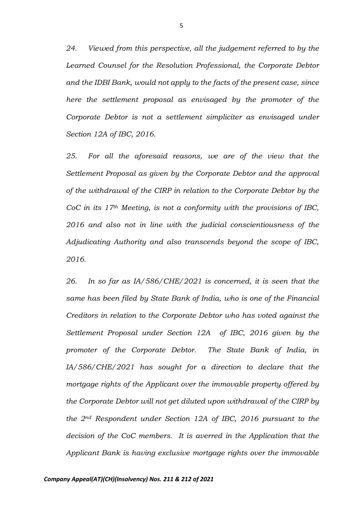*24. Viewed from this perspective, all the judgement referred to by the Learned Counsel for the Resolution Professional, the Corporate Debtor and the IDBI Bank, would not apply to the facts of the present case, since here the settlement proposal as envisaged by the promoter of the Corporate Debtor is not a settlement simpliciter as envisaged under Section 12A of IBC, 2016.*

*25. For all the aforesaid reasons, we are of the view that the Settlement Proposal as given by the Corporate Debtor and the approval of the withdrawal of the CIRP in relation to the Corporate Debtor by the CoC in its 17th Meeting, is not a conformity with the provisions of IBC, 2016 and also not in line with the judicial conscientiousness of the Adjudicating Authority and also transcends beyond the scope of IBC, 2016.*

*26. In so far as IA/586/CHE/2021 is concerned, it is seen that the same has been filed by State Bank of India, who is one of the Financial Creditors in relation to the Corporate Debtor who has voted against the Settlement Proposal under Section 12A of IBC, 2016 given by the promoter of the Corporate Debtor. The State Bank of India, in IA/586/CHE/2021 has sought for a direction to declare that the mortgage rights of the Applicant over the immovable property offered by the Corporate Debtor will not get diluted upon withdrawal of the CIRP by the 2nd Respondent under Section 12A of IBC, 2016 pursuant to the decision of the CoC members. It is averred in the Application that the Applicant Bank is having exclusive mortgage rights over the immovable*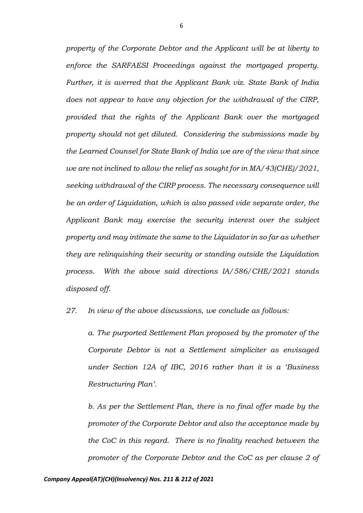*property of the Corporate Debtor and the Applicant will be at liberty to enforce the SARFAESI Proceedings against the mortgaged property. Further, it is averred that the Applicant Bank viz. State Bank of India does not appear to have any objection for the withdrawal of the CIRP, provided that the rights of the Applicant Bank over the mortgaged property should not get diluted. Considering the submissions made by the Learned Counsel for State Bank of India we are of the view that since we are not inclined to allow the relief as sought for in MA/43(CHE)/2021, seeking withdrawal of the CIRP process. The necessary consequence will be an order of Liquidation, which is also passed vide separate order, the Applicant Bank may exercise the security interest over the subject property and may intimate the same to the Liquidator in so far as whether they are relinquishing their security or standing outside the Liquidation process. With the above said directions IA/586/CHE/2021 stands disposed off.*

*27. In view of the above discussions, we conclude as follows:*

*a. The purported Settlement Plan proposed by the promoter of the Corporate Debtor is not a Settlement simpliciter as envisaged under Section 12A of IBC, 2016 rather than it is a 'Business Restructuring Plan'.*

*b. As per the Settlement Plan, there is no final offer made by the promoter of the Corporate Debtor and also the acceptance made by the CoC in this regard. There is no finality reached between the promoter of the Corporate Debtor and the CoC as per clause 2 of*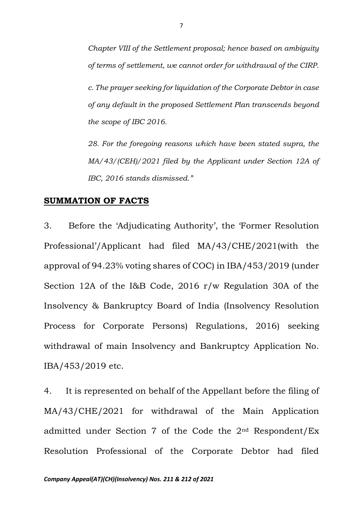*Chapter VIII of the Settlement proposal; hence based on ambiguity of terms of settlement, we cannot order for withdrawal of the CIRP. c. The prayer seeking for liquidation of the Corporate Debtor in case of any default in the proposed Settlement Plan transcends beyond the scope of IBC 2016.*

*28. For the foregoing reasons which have been stated supra, the MA/43/(CEH)/2021 filed by the Applicant under Section 12A of IBC, 2016 stands dismissed."*

## **SUMMATION OF FACTS**

3. Before the 'Adjudicating Authority', the 'Former Resolution Professional'/Applicant had filed MA/43/CHE/2021(with the approval of 94.23% voting shares of COC) in IBA/453/2019 (under Section 12A of the I&B Code, 2016 r/w Regulation 30A of the Insolvency & Bankruptcy Board of India (Insolvency Resolution Process for Corporate Persons) Regulations, 2016) seeking withdrawal of main Insolvency and Bankruptcy Application No. IBA/453/2019 etc.

4. It is represented on behalf of the Appellant before the filing of MA/43/CHE/2021 for withdrawal of the Main Application admitted under Section 7 of the Code the 2nd Respondent/Ex Resolution Professional of the Corporate Debtor had filed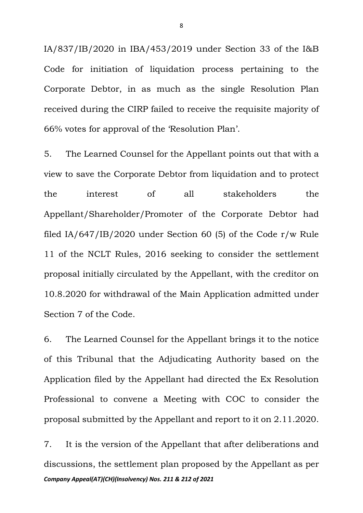IA/837/IB/2020 in IBA/453/2019 under Section 33 of the I&B Code for initiation of liquidation process pertaining to the Corporate Debtor, in as much as the single Resolution Plan received during the CIRP failed to receive the requisite majority of 66% votes for approval of the 'Resolution Plan'.

5. The Learned Counsel for the Appellant points out that with a view to save the Corporate Debtor from liquidation and to protect the interest of all stakeholders the Appellant/Shareholder/Promoter of the Corporate Debtor had filed IA/647/IB/2020 under Section 60 (5) of the Code r/w Rule 11 of the NCLT Rules, 2016 seeking to consider the settlement proposal initially circulated by the Appellant, with the creditor on 10.8.2020 for withdrawal of the Main Application admitted under Section 7 of the Code.

6. The Learned Counsel for the Appellant brings it to the notice of this Tribunal that the Adjudicating Authority based on the Application filed by the Appellant had directed the Ex Resolution Professional to convene a Meeting with COC to consider the proposal submitted by the Appellant and report to it on 2.11.2020.

*Company Appeal(AT)(CH)(Insolvency) Nos. 211 & 212 of 2021* 7. It is the version of the Appellant that after deliberations and discussions, the settlement plan proposed by the Appellant as per

8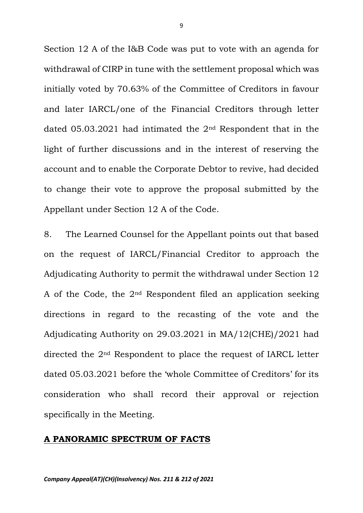Section 12 A of the I&B Code was put to vote with an agenda for withdrawal of CIRP in tune with the settlement proposal which was initially voted by 70.63% of the Committee of Creditors in favour and later IARCL/one of the Financial Creditors through letter dated 05.03.2021 had intimated the 2nd Respondent that in the light of further discussions and in the interest of reserving the account and to enable the Corporate Debtor to revive, had decided to change their vote to approve the proposal submitted by the Appellant under Section 12 A of the Code.

8. The Learned Counsel for the Appellant points out that based on the request of IARCL/Financial Creditor to approach the Adjudicating Authority to permit the withdrawal under Section 12 A of the Code, the  $2<sup>nd</sup>$  Respondent filed an application seeking directions in regard to the recasting of the vote and the Adjudicating Authority on 29.03.2021 in MA/12(CHE)/2021 had directed the 2nd Respondent to place the request of IARCL letter dated 05.03.2021 before the 'whole Committee of Creditors' for its consideration who shall record their approval or rejection specifically in the Meeting.

## **A PANORAMIC SPECTRUM OF FACTS**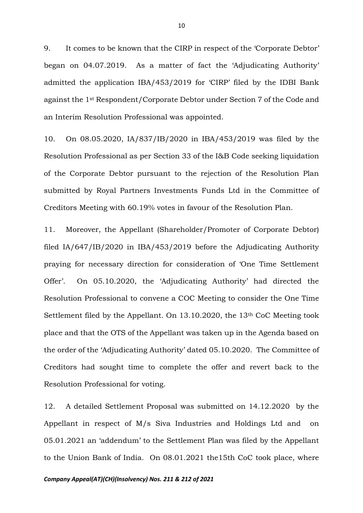9. It comes to be known that the CIRP in respect of the 'Corporate Debtor' began on 04.07.2019. As a matter of fact the 'Adjudicating Authority' admitted the application IBA/453/2019 for 'CIRP' filed by the IDBI Bank against the 1st Respondent/Corporate Debtor under Section 7 of the Code and an Interim Resolution Professional was appointed.

10. On 08.05.2020, IA/837/IB/2020 in IBA/453/2019 was filed by the Resolution Professional as per Section 33 of the I&B Code seeking liquidation of the Corporate Debtor pursuant to the rejection of the Resolution Plan submitted by Royal Partners Investments Funds Ltd in the Committee of Creditors Meeting with 60.19% votes in favour of the Resolution Plan.

11. Moreover, the Appellant (Shareholder/Promoter of Corporate Debtor) filed IA/647/IB/2020 in IBA/453/2019 before the Adjudicating Authority praying for necessary direction for consideration of 'One Time Settlement Offer'. On 05.10.2020, the 'Adjudicating Authority' had directed the Resolution Professional to convene a COC Meeting to consider the One Time Settlement filed by the Appellant. On 13.10.2020, the 13th CoC Meeting took place and that the OTS of the Appellant was taken up in the Agenda based on the order of the 'Adjudicating Authority' dated 05.10.2020. The Committee of Creditors had sought time to complete the offer and revert back to the Resolution Professional for voting.

12. A detailed Settlement Proposal was submitted on 14.12.2020 by the Appellant in respect of M/s Siva Industries and Holdings Ltd and on 05.01.2021 an 'addendum' to the Settlement Plan was filed by the Appellant to the Union Bank of India. On 08.01.2021 the15th CoC took place, where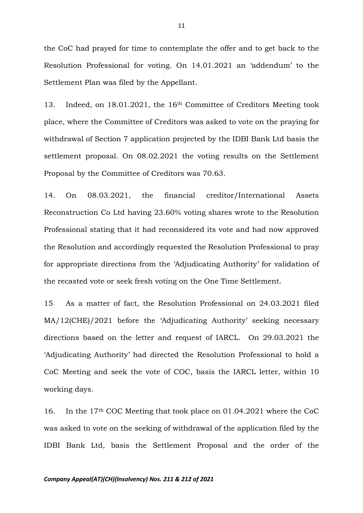the CoC had prayed for time to contemplate the offer and to get back to the Resolution Professional for voting. On 14.01.2021 an 'addendum' to the Settlement Plan was filed by the Appellant.

13. Indeed, on 18.01.2021, the 16th Committee of Creditors Meeting took place, where the Committee of Creditors was asked to vote on the praying for withdrawal of Section 7 application projected by the IDBI Bank Ltd basis the settlement proposal. On 08.02.2021 the voting results on the Settlement Proposal by the Committee of Creditors was 70.63.

14. On 08.03.2021, the financial creditor/International Assets Reconstruction Co Ltd having 23.60% voting shares wrote to the Resolution Professional stating that it had reconsidered its vote and had now approved the Resolution and accordingly requested the Resolution Professional to pray for appropriate directions from the 'Adjudicating Authority' for validation of the recasted vote or seek fresh voting on the One Time Settlement.

15 As a matter of fact, the Resolution Professional on 24.03.2021 filed MA/12(CHE)/2021 before the 'Adjudicating Authority' seeking necessary directions based on the letter and request of IARCL. On 29.03.2021 the 'Adjudicating Authority' had directed the Resolution Professional to hold a CoC Meeting and seek the vote of COC, basis the IARCL letter, within 10 working days.

16. In the 17th COC Meeting that took place on 01.04.2021 where the CoC was asked to vote on the seeking of withdrawal of the application filed by the IDBI Bank Ltd, basis the Settlement Proposal and the order of the

#### *Company Appeal(AT)(CH)(Insolvency) Nos. 211 & 212 of 2021*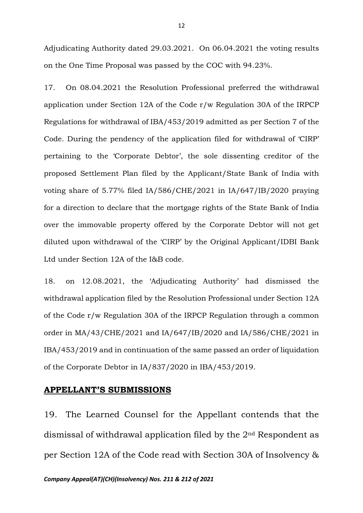Adjudicating Authority dated 29.03.2021. On 06.04.2021 the voting results on the One Time Proposal was passed by the COC with 94.23%.

17. On 08.04.2021 the Resolution Professional preferred the withdrawal application under Section 12A of the Code r/w Regulation 30A of the IRPCP Regulations for withdrawal of IBA/453/2019 admitted as per Section 7 of the Code. During the pendency of the application filed for withdrawal of 'CIRP' pertaining to the 'Corporate Debtor', the sole dissenting creditor of the proposed Settlement Plan filed by the Applicant/State Bank of India with voting share of 5.77% filed IA/586/CHE/2021 in IA/647/IB/2020 praying for a direction to declare that the mortgage rights of the State Bank of India over the immovable property offered by the Corporate Debtor will not get diluted upon withdrawal of the 'CIRP' by the Original Applicant/IDBI Bank Ltd under Section 12A of the I&B code.

18. on 12.08.2021, the 'Adjudicating Authority' had dismissed the withdrawal application filed by the Resolution Professional under Section 12A of the Code r/w Regulation 30A of the IRPCP Regulation through a common order in MA/43/CHE/2021 and IA/647/IB/2020 and IA/586/CHE/2021 in IBA/453/2019 and in continuation of the same passed an order of liquidation of the Corporate Debtor in IA/837/2020 in IBA/453/2019.

## **APPELLANT'S SUBMISSIONS**

19. The Learned Counsel for the Appellant contends that the dismissal of withdrawal application filed by the 2nd Respondent as per Section 12A of the Code read with Section 30A of Insolvency &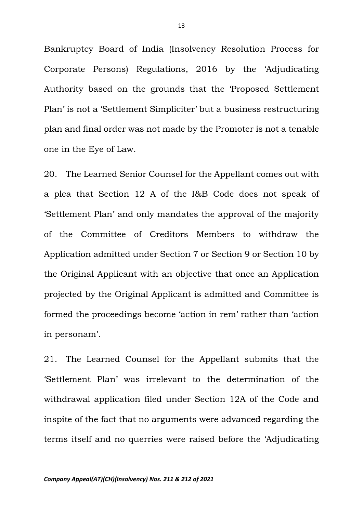Bankruptcy Board of India (Insolvency Resolution Process for Corporate Persons) Regulations, 2016 by the 'Adjudicating Authority based on the grounds that the 'Proposed Settlement Plan' is not a 'Settlement Simpliciter' but a business restructuring plan and final order was not made by the Promoter is not a tenable one in the Eye of Law.

20. The Learned Senior Counsel for the Appellant comes out with a plea that Section 12 A of the I&B Code does not speak of 'Settlement Plan' and only mandates the approval of the majority of the Committee of Creditors Members to withdraw the Application admitted under Section 7 or Section 9 or Section 10 by the Original Applicant with an objective that once an Application projected by the Original Applicant is admitted and Committee is formed the proceedings become 'action in rem' rather than 'action in personam'.

21. The Learned Counsel for the Appellant submits that the 'Settlement Plan' was irrelevant to the determination of the withdrawal application filed under Section 12A of the Code and inspite of the fact that no arguments were advanced regarding the terms itself and no querries were raised before the 'Adjudicating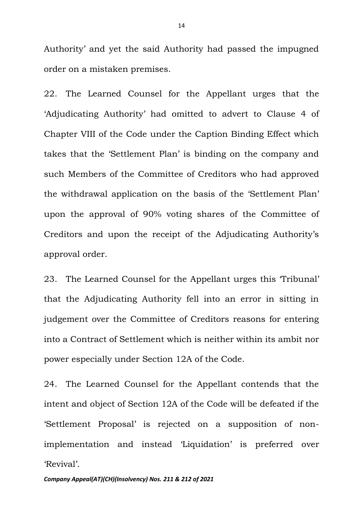Authority' and yet the said Authority had passed the impugned order on a mistaken premises.

22. The Learned Counsel for the Appellant urges that the 'Adjudicating Authority' had omitted to advert to Clause 4 of Chapter VIII of the Code under the Caption Binding Effect which takes that the 'Settlement Plan' is binding on the company and such Members of the Committee of Creditors who had approved the withdrawal application on the basis of the 'Settlement Plan' upon the approval of 90% voting shares of the Committee of Creditors and upon the receipt of the Adjudicating Authority's approval order.

23. The Learned Counsel for the Appellant urges this 'Tribunal' that the Adjudicating Authority fell into an error in sitting in judgement over the Committee of Creditors reasons for entering into a Contract of Settlement which is neither within its ambit nor power especially under Section 12A of the Code.

24. The Learned Counsel for the Appellant contends that the intent and object of Section 12A of the Code will be defeated if the 'Settlement Proposal' is rejected on a supposition of nonimplementation and instead 'Liquidation' is preferred over 'Revival'.

*Company Appeal(AT)(CH)(Insolvency) Nos. 211 & 212 of 2021*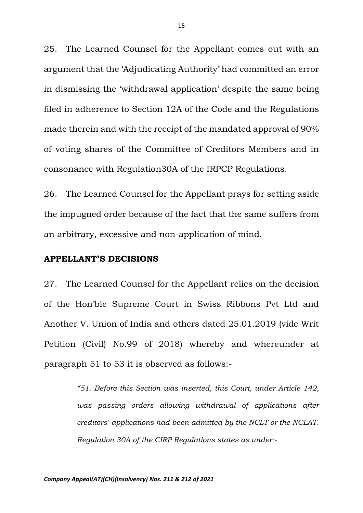25. The Learned Counsel for the Appellant comes out with an argument that the 'Adjudicating Authority' had committed an error in dismissing the 'withdrawal application' despite the same being filed in adherence to Section 12A of the Code and the Regulations made therein and with the receipt of the mandated approval of 90% of voting shares of the Committee of Creditors Members and in consonance with Regulation30A of the IRPCP Regulations.

26. The Learned Counsel for the Appellant prays for setting aside the impugned order because of the fact that the same suffers from an arbitrary, excessive and non-application of mind.

## **APPELLANT'S DECISIONS**

27. The Learned Counsel for the Appellant relies on the decision of the Hon'ble Supreme Court in Swiss Ribbons Pvt Ltd and Another V. Union of India and others dated 25.01.2019 (vide Writ Petition (Civil) No.99 of 2018) whereby and whereunder at paragraph 51 to 53 it is observed as follows:-

> *"51. Before this Section was inserted, this Court, under Article 142, was passing orders allowing withdrawal of applications after creditors' applications had been admitted by the NCLT or the NCLAT. Regulation 30A of the CIRP Regulations states as under:-*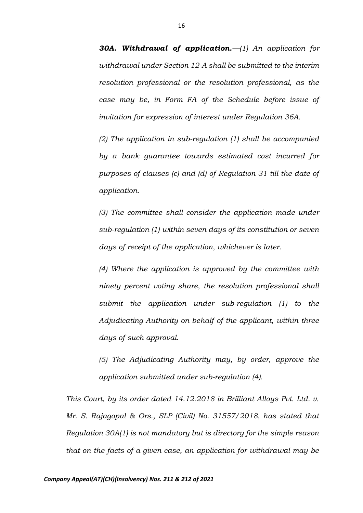*30A. Withdrawal of application.—(1) An application for withdrawal under Section 12-A shall be submitted to the interim resolution professional or the resolution professional, as the case may be, in Form FA of the Schedule before issue of invitation for expression of interest under Regulation 36A.* 

*(2) The application in sub-regulation (1) shall be accompanied by a bank guarantee towards estimated cost incurred for purposes of clauses (c) and (d) of Regulation 31 till the date of application.* 

*(3) The committee shall consider the application made under sub-regulation (1) within seven days of its constitution or seven days of receipt of the application, whichever is later.* 

*(4) Where the application is approved by the committee with ninety percent voting share, the resolution professional shall submit the application under sub-regulation (1) to the Adjudicating Authority on behalf of the applicant, within three days of such approval.* 

*(5) The Adjudicating Authority may, by order, approve the application submitted under sub-regulation (4).*

*This Court, by its order dated 14.12.2018 in Brilliant Alloys Pvt. Ltd. v. Mr. S. Rajagopal & Ors., SLP (Civil) No. 31557/2018, has stated that Regulation 30A(1) is not mandatory but is directory for the simple reason that on the facts of a given case, an application for withdrawal may be*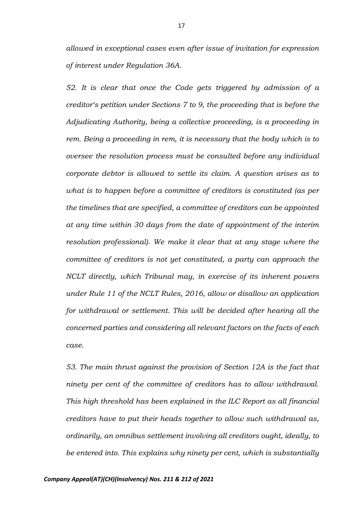*allowed in exceptional cases even after issue of invitation for expression of interest under Regulation 36A.* 

*52. It is clear that once the Code gets triggered by admission of a creditor's petition under Sections 7 to 9, the proceeding that is before the Adjudicating Authority, being a collective proceeding, is a proceeding in rem. Being a proceeding in rem, it is necessary that the body which is to oversee the resolution process must be consulted before any individual corporate debtor is allowed to settle its claim. A question arises as to what is to happen before a committee of creditors is constituted (as per the timelines that are specified, a committee of creditors can be appointed at any time within 30 days from the date of appointment of the interim resolution professional). We make it clear that at any stage where the committee of creditors is not yet constituted, a party can approach the NCLT directly, which Tribunal may, in exercise of its inherent powers under Rule 11 of the NCLT Rules, 2016, allow or disallow an application for withdrawal or settlement. This will be decided after hearing all the concerned parties and considering all relevant factors on the facts of each case.* 

*53. The main thrust against the provision of Section 12A is the fact that ninety per cent of the committee of creditors has to allow withdrawal. This high threshold has been explained in the ILC Report as all financial creditors have to put their heads together to allow such withdrawal as, ordinarily, an omnibus settlement involving all creditors ought, ideally, to be entered into. This explains why ninety per cent, which is substantially*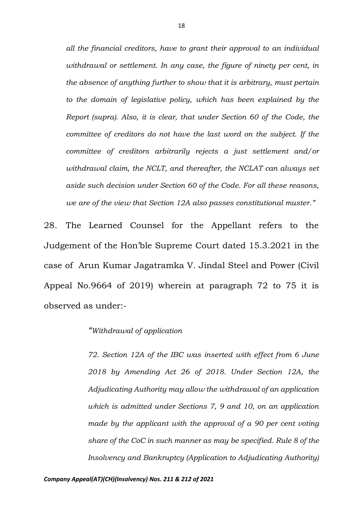*all the financial creditors, have to grant their approval to an individual withdrawal or settlement. In any case, the figure of ninety per cent, in the absence of anything further to show that it is arbitrary, must pertain to the domain of legislative policy, which has been explained by the Report (supra). Also, it is clear, that under Section 60 of the Code, the committee of creditors do not have the last word on the subject. If the committee of creditors arbitrarily rejects a just settlement and/or withdrawal claim, the NCLT, and thereafter, the NCLAT can always set aside such decision under Section 60 of the Code. For all these reasons, we are of the view that Section 12A also passes constitutional muster."*

28. The Learned Counsel for the Appellant refers to the Judgement of the Hon'ble Supreme Court dated 15.3.2021 in the case of Arun Kumar Jagatramka V. Jindal Steel and Power (Civil Appeal No.9664 of 2019) wherein at paragraph 72 to 75 it is observed as under:-

### *"Withdrawal of application*

*72. Section 12A of the IBC was inserted with effect from 6 June 2018 by Amending Act 26 of 2018. Under Section 12A, the Adjudicating Authority may allow the withdrawal of an application which is admitted under Sections 7, 9 and 10, on an application made by the applicant with the approval of a 90 per cent voting share of the CoC in such manner as may be specified. Rule 8 of the Insolvency and Bankruptcy (Application to Adjudicating Authority)*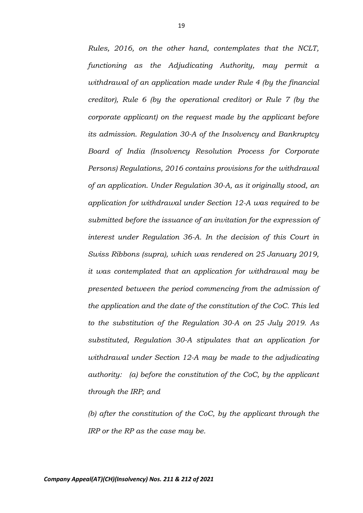*Rules, 2016, on the other hand, contemplates that the NCLT, functioning as the Adjudicating Authority, may permit a withdrawal of an application made under Rule 4 (by the financial creditor), Rule 6 (by the operational creditor) or Rule 7 (by the corporate applicant) on the request made by the applicant before its admission. Regulation 30-A of the Insolvency and Bankruptcy Board of India (Insolvency Resolution Process for Corporate Persons) Regulations, 2016 contains provisions for the withdrawal of an application. Under Regulation 30-A, as it originally stood, an application for withdrawal under Section 12-A was required to be submitted before the issuance of an invitation for the expression of interest under Regulation 36-A. In the decision of this Court in Swiss Ribbons (supra), which was rendered on 25 January 2019, it was contemplated that an application for withdrawal may be presented between the period commencing from the admission of the application and the date of the constitution of the CoC. This led to the substitution of the Regulation 30-A on 25 July 2019. As substituted, Regulation 30-A stipulates that an application for withdrawal under Section 12-A may be made to the adjudicating authority: (a) before the constitution of the CoC, by the applicant through the IRP; and* 

*(b) after the constitution of the CoC, by the applicant through the IRP or the RP as the case may be.*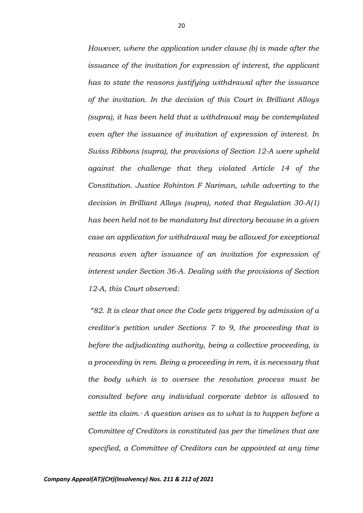*However, where the application under clause (b) is made after the issuance of the invitation for expression of interest, the applicant has to state the reasons justifying withdrawal after the issuance of the invitation. In the decision of this Court in Brilliant Alloys (supra), it has been held that a withdrawal may be contemplated even after the issuance of invitation of expression of interest. In Swiss Ribbons (supra), the provisions of Section 12-A were upheld against the challenge that they violated Article 14 of the Constitution. Justice Rohinton F Nariman, while adverting to the decision in Brilliant Alloys (supra), noted that Regulation 30-A(1) has been held not to be mandatory but directory because in a given case an application for withdrawal may be allowed for exceptional reasons even after issuance of an invitation for expression of interest under Section 36-A. Dealing with the provisions of Section 12-A, this Court observed:*

*"82. It is clear that once the Code gets triggered by admission of a creditor's petition under Sections 7 to 9, the proceeding that is before the adjudicating authority, being a collective proceeding, is a proceeding in rem. Being a proceeding in rem, it is necessary that the body which is to oversee the resolution process must be consulted before any individual corporate debtor is allowed to settle its claim.· A question arises as to what is to happen before a Committee of Creditors is constituted (as per the timelines that are specified, a Committee of Creditors can be appointed at any time* 

*Company Appeal(AT)(CH)(Insolvency) Nos. 211 & 212 of 2021*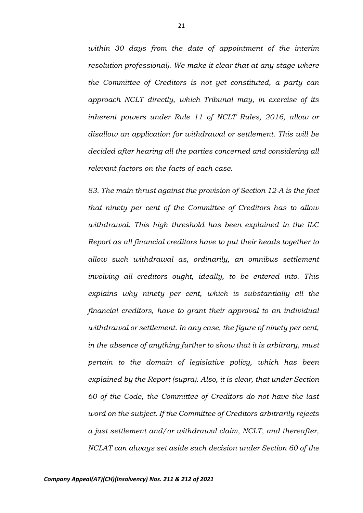*within 30 days from the date of appointment of the interim resolution professional). We make it clear that at any stage where the Committee of Creditors is not yet constituted, a party can approach NCLT directly, which Tribunal may, in exercise of its inherent powers under Rule 11 of NCLT Rules, 2016, allow or disallow an application for withdrawal or settlement. This will be decided after hearing all the parties concerned and considering all relevant factors on the facts of each case.* 

*83. The main thrust against the provision of Section 12-A is the fact that ninety per cent of the Committee of Creditors has to allow withdrawal. This high threshold has been explained in the ILC Report as all financial creditors have to put their heads together to allow such withdrawal as, ordinarily, an omnibus settlement involving all creditors ought, ideally, to be entered into. This explains why ninety per cent, which is substantially all the financial creditors, have to grant their approval to an individual withdrawal or settlement. In any case, the figure of ninety per cent, in the absence of anything further to show that it is arbitrary, must pertain to the domain of legislative policy, which has been explained by the Report (supra). Also, it is clear, that under Section 60 of the Code, the Committee of Creditors do not have the last word on the subject. If the Committee of Creditors arbitrarily rejects a just settlement and/or withdrawal claim, NCLT, and thereafter, NCLAT can always set aside such decision under Section 60 of the*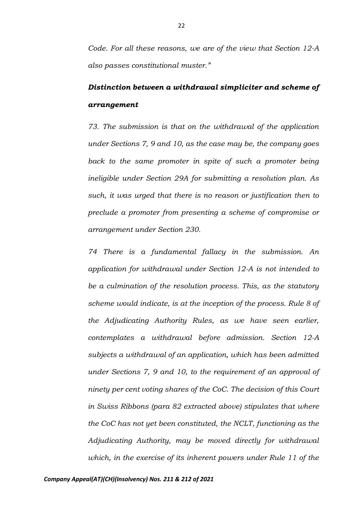*Code. For all these reasons, we are of the view that Section 12-A also passes constitutional muster."*

# *Distinction between a withdrawal simpliciter and scheme of arrangement*

*73. The submission is that on the withdrawal of the application under Sections 7, 9 and 10, as the case may be, the company goes back to the same promoter in spite of such a promoter being ineligible under Section 29A for submitting a resolution plan. As such, it was urged that there is no reason or justification then to preclude a promoter from presenting a scheme of compromise or arrangement under Section 230.* 

*74 There is a fundamental fallacy in the submission. An application for withdrawal under Section 12-A is not intended to be a culmination of the resolution process. This, as the statutory scheme would indicate, is at the inception of the process. Rule 8 of the Adjudicating Authority Rules, as we have seen earlier, contemplates a withdrawal before admission. Section 12-A subjects a withdrawal of an application, which has been admitted under Sections 7, 9 and 10, to the requirement of an approval of ninety per cent voting shares of the CoC. The decision of this Court in Swiss Ribbons (para 82 extracted above) stipulates that where the CoC has not yet been constituted, the NCLT, functioning as the Adjudicating Authority, may be moved directly for withdrawal which, in the exercise of its inherent powers under Rule 11 of the*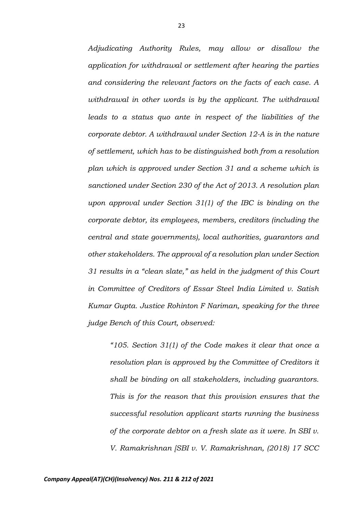*Adjudicating Authority Rules, may allow or disallow the application for withdrawal or settlement after hearing the parties and considering the relevant factors on the facts of each case. A withdrawal in other words is by the applicant. The withdrawal leads to a status quo ante in respect of the liabilities of the corporate debtor. A withdrawal under Section 12-A is in the nature of settlement, which has to be distinguished both from a resolution plan which is approved under Section 31 and a scheme which is sanctioned under Section 230 of the Act of 2013. A resolution plan upon approval under Section 31(1) of the IBC is binding on the corporate debtor, its employees, members, creditors (including the central and state governments), local authorities, guarantors and other stakeholders. The approval of a resolution plan under Section 31 results in a "clean slate," as held in the judgment of this Court in Committee of Creditors of Essar Steel India Limited v. Satish Kumar Gupta. Justice Rohinton F Nariman, speaking for the three judge Bench of this Court, observed:* 

*"105. Section 31(1) of the Code makes it clear that once a resolution plan is approved by the Committee of Creditors it shall be binding on all stakeholders, including guarantors. This is for the reason that this provision ensures that the successful resolution applicant starts running the business of the corporate debtor on a fresh slate as it were. In SBI v. V. Ramakrishnan [SBI v. V. Ramakrishnan, (2018) 17 SCC*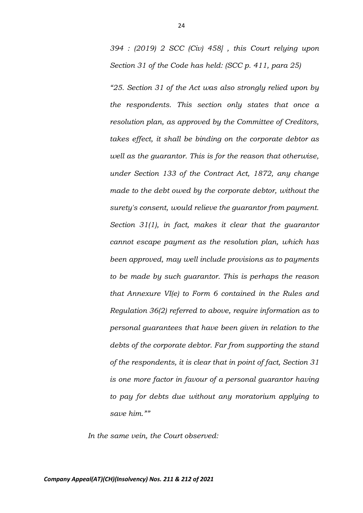*394 : (2019) 2 SCC (Civ) 458] , this Court relying upon Section 31 of the Code has held: (SCC p. 411, para 25)* 

*"25. Section 31 of the Act was also strongly relied upon by the respondents. This section only states that once a resolution plan, as approved by the Committee of Creditors, takes effect, it shall be binding on the corporate debtor as well as the guarantor. This is for the reason that otherwise, under Section 133 of the Contract Act, 1872, any change made to the debt owed by the corporate debtor, without the surety's consent, would relieve the guarantor from payment. Section 31(1), in fact, makes it clear that the guarantor cannot escape payment as the resolution plan, which has been approved, may well include provisions as to payments to be made by such guarantor. This is perhaps the reason that Annexure VI(e) to Form 6 contained in the Rules and Regulation 36(2) referred to above, require information as to personal guarantees that have been given in relation to the debts of the corporate debtor. Far from supporting the stand of the respondents, it is clear that in point of fact, Section 31 is one more factor in favour of a personal guarantor having to pay for debts due without any moratorium applying to save him.""* 

*In the same vein, the Court observed:*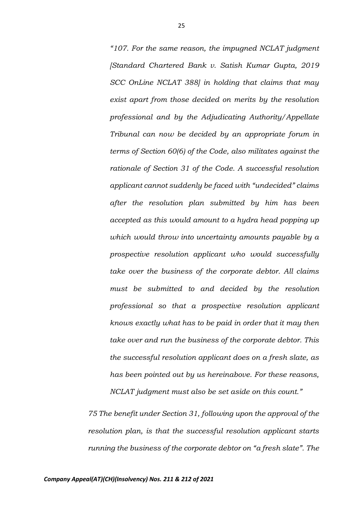*"107. For the same reason, the impugned NCLAT judgment [Standard Chartered Bank v. Satish Kumar Gupta, 2019 SCC OnLine NCLAT 388] in holding that claims that may exist apart from those decided on merits by the resolution professional and by the Adjudicating Authority/Appellate Tribunal can now be decided by an appropriate forum in terms of Section 60(6) of the Code, also militates against the rationale of Section 31 of the Code. A successful resolution applicant cannot suddenly be faced with "undecided" claims after the resolution plan submitted by him has been accepted as this would amount to a hydra head popping up which would throw into uncertainty amounts payable by a prospective resolution applicant who would successfully take over the business of the corporate debtor. All claims must be submitted to and decided by the resolution professional so that a prospective resolution applicant knows exactly what has to be paid in order that it may then take over and run the business of the corporate debtor. This the successful resolution applicant does on a fresh slate, as has been pointed out by us hereinabove. For these reasons, NCLAT judgment must also be set aside on this count."*

*75 The benefit under Section 31, following upon the approval of the resolution plan, is that the successful resolution applicant starts running the business of the corporate debtor on "a fresh slate". The*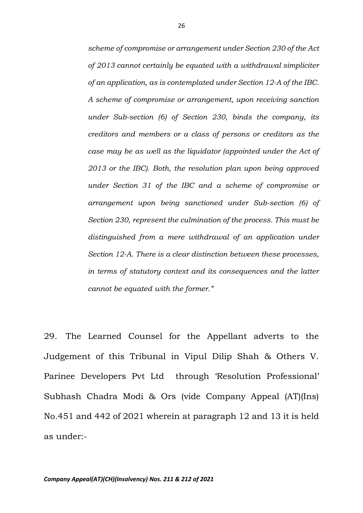*scheme of compromise or arrangement under Section 230 of the Act of 2013 cannot certainly be equated with a withdrawal simpliciter of an application, as is contemplated under Section 12-A of the IBC. A scheme of compromise or arrangement, upon receiving sanction under Sub-section (6) of Section 230, binds the company, its creditors and members or a class of persons or creditors as the case may be as well as the liquidator (appointed under the Act of 2013 or the IBC). Both, the resolution plan upon being approved under Section 31 of the IBC and a scheme of compromise or arrangement upon being sanctioned under Sub-section (6) of Section 230, represent the culmination of the process. This must be distinguished from a mere withdrawal of an application under Section 12-A. There is a clear distinction between these processes, in terms of statutory context and its consequences and the latter cannot be equated with the former."* 

29. The Learned Counsel for the Appellant adverts to the Judgement of this Tribunal in Vipul Dilip Shah & Others V. Parinee Developers Pvt Ltd through 'Resolution Professional' Subhash Chadra Modi & Ors (vide Company Appeal (AT)(Ins) No.451 and 442 of 2021 wherein at paragraph 12 and 13 it is held as under:-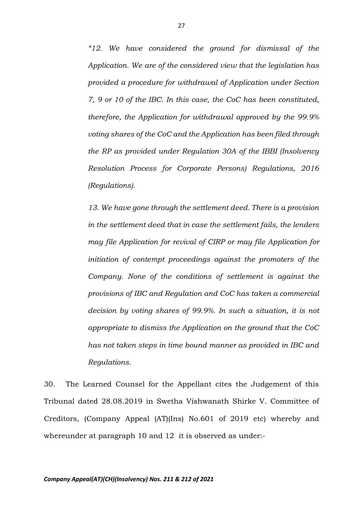*"12. We have considered the ground for dismissal of the Application. We are of the considered view that the legislation has provided a procedure for withdrawal of Application under Section 7, 9 or 10 of the IBC. In this case, the CoC has been constituted, therefore, the Application for withdrawal approved by the 99.9% voting shares of the CoC and the Application has been filed through the RP as provided under Regulation 30A of the IBBI (Insolvency Resolution Process for Corporate Persons) Regulations, 2016 (Regulations).* 

*13. We have gone through the settlement deed. There is a provision in the settlement deed that in case the settlement fails, the lenders may file Application for revival of CIRP or may file Application for initiation of contempt proceedings against the promoters of the Company. None of the conditions of settlement is against the provisions of IBC and Regulation and CoC has taken a commercial decision by voting shares of 99.9%. In such a situation, it is not appropriate to dismiss the Application on the ground that the CoC has not taken steps in time bound manner as provided in IBC and Regulations.* 

30. The Learned Counsel for the Appellant cites the Judgement of this Tribunal dated 28.08.2019 in Swetha Vishwanath Shirke V. Committee of Creditors, (Company Appeal (AT)(Ins) No.601 of 2019 etc) whereby and whereunder at paragraph 10 and 12 it is observed as under:-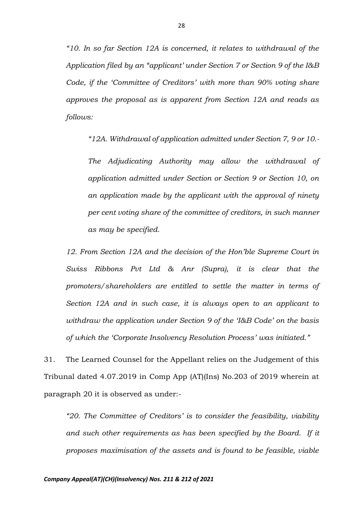*"10. In so far Section 12A is concerned, it relates to withdrawal of the Application filed by an "applicant' under Section 7 or Section 9 of the I&B Code, if the 'Committee of Creditors' with more than 90% voting share approves the proposal as is apparent from Section 12A and reads as follows:* 

*"12A. Withdrawal of application admitted under Section 7, 9 or 10.-*

*The Adjudicating Authority may allow the withdrawal of application admitted under Section or Section 9 or Section 10, on an application made by the applicant with the approval of ninety per cent voting share of the committee of creditors, in such manner as may be specified.*

*12. From Section 12A and the decision of the Hon'ble Supreme Court in Swiss Ribbons Pvt Ltd & Anr (Supra), it is clear that the promoters/shareholders are entitled to settle the matter in terms of Section 12A and in such case, it is always open to an applicant to withdraw the application under Section 9 of the 'I&B Code' on the basis of which the 'Corporate Insolvency Resolution Process' was initiated."*

31. The Learned Counsel for the Appellant relies on the Judgement of this Tribunal dated 4.07.2019 in Comp App (AT)(Ins) No.203 of 2019 wherein at paragraph 20 it is observed as under:-

*"20. The Committee of Creditors' is to consider the feasibility, viability and such other requirements as has been specified by the Board. If it proposes maximisation of the assets and is found to be feasible, viable*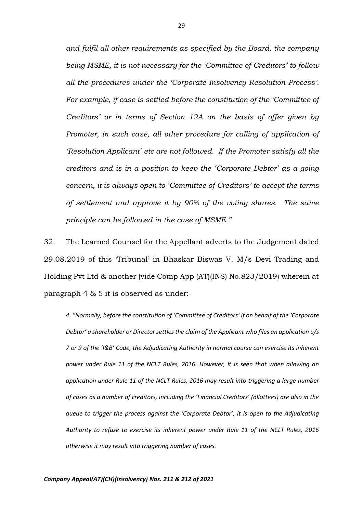*and fulfil all other requirements as specified by the Board, the company being MSME, it is not necessary for the 'Committee of Creditors' to follow all the procedures under the 'Corporate Insolvency Resolution Process'. For example, if case is settled before the constitution of the 'Committee of Creditors' or in terms of Section 12A on the basis of offer given by Promoter, in such case, all other procedure for calling of application of 'Resolution Applicant' etc are not followed. If the Promoter satisfy all the creditors and is in a position to keep the 'Corporate Debtor' as a going concern, it is always open to 'Committee of Creditors' to accept the terms of settlement and approve it by 90% of the voting shares. The same principle can be followed in the case of MSME."*

32. The Learned Counsel for the Appellant adverts to the Judgement dated 29.08.2019 of this 'Tribunal' in Bhaskar Biswas V. M/s Devi Trading and Holding Pvt Ltd & another (vide Comp App (AT)(INS) No.823/2019) wherein at paragraph 4 & 5 it is observed as under:-

*4. "Normally, before the constitution of 'Committee of Creditors' if on behalf of the 'Corporate Debtor' a shareholder or Director settles the claim of the Applicant who files an application u/s 7 or 9 of the 'I&B' Code, the Adjudicating Authority in normal course can exercise its inherent power under Rule 11 of the NCLT Rules, 2016. However, it is seen that when allowing an application under Rule 11 of the NCLT Rules, 2016 may result into triggering a large number of cases as a number of creditors, including the 'Financial Creditors' (allottees) are also in the queue to trigger the process against the 'Corporate Debtor', it is open to the Adjudicating Authority to refuse to exercise its inherent power under Rule 11 of the NCLT Rules, 2016 otherwise it may result into triggering number of cases.*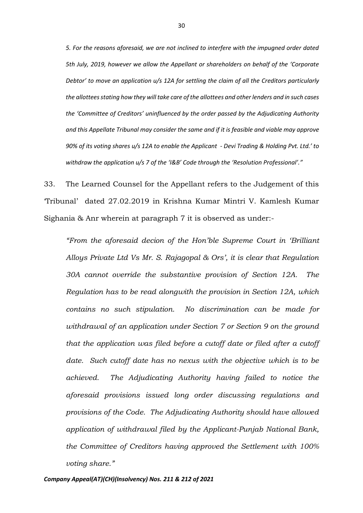*5. For the reasons aforesaid, we are not inclined to interfere with the impugned order dated 5th July, 2019, however we allow the Appellant or shareholders on behalf of the 'Corporate Debtor' to move an application u/s 12A for settling the claim of all the Creditors particularly the allottees stating how they will take care of the allottees and other lenders and in such cases the 'Committee of Creditors' uninfluenced by the order passed by the Adjudicating Authority and this Appellate Tribunal may consider the same and if it is feasible and viable may approve 90% of its voting shares u/s 12A to enable the Applicant - Devi Trading & Holding Pvt. Ltd.' to withdraw the application u/s 7 of the 'I&B' Code through the 'Resolution Professional'."*

33. The Learned Counsel for the Appellant refers to the Judgement of this 'Tribunal' dated 27.02.2019 in Krishna Kumar Mintri V. Kamlesh Kumar Sighania & Anr wherein at paragraph 7 it is observed as under:-

*"From the aforesaid decion of the Hon'ble Supreme Court in 'Brilliant Alloys Private Ltd Vs Mr. S. Rajagopal & Ors', it is clear that Regulation 30A cannot override the substantive provision of Section 12A. The Regulation has to be read alongwith the provision in Section 12A, which contains no such stipulation. No discrimination can be made for withdrawal of an application under Section 7 or Section 9 on the ground that the application was filed before a cutoff date or filed after a cutoff date. Such cutoff date has no nexus with the objective which is to be achieved. The Adjudicating Authority having failed to notice the aforesaid provisions issued long order discussing regulations and provisions of the Code. The Adjudicating Authority should have allowed application of withdrawal filed by the Applicant-Punjab National Bank, the Committee of Creditors having approved the Settlement with 100% voting share."*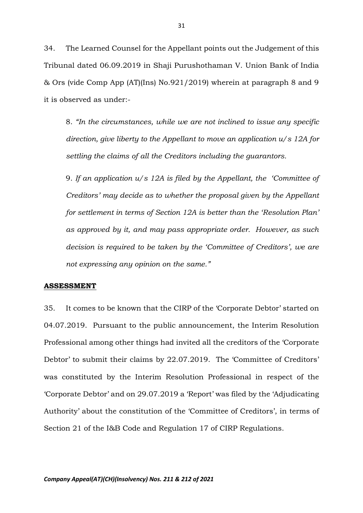34. The Learned Counsel for the Appellant points out the Judgement of this Tribunal dated 06.09.2019 in Shaji Purushothaman V. Union Bank of India & Ors (vide Comp App (AT)(Ins) No.921/2019) wherein at paragraph 8 and 9 it is observed as under:-

8. *"In the circumstances, while we are not inclined to issue any specific direction, give liberty to the Appellant to move an application u/s 12A for settling the claims of all the Creditors including the guarantors.* 

9. *If an application u/s 12A is filed by the Appellant, the 'Committee of Creditors' may decide as to whether the proposal given by the Appellant for settlement in terms of Section 12A is better than the 'Resolution Plan' as approved by it, and may pass appropriate order. However, as such decision is required to be taken by the 'Committee of Creditors', we are not expressing any opinion on the same."*

#### **ASSESSMENT**

35. It comes to be known that the CIRP of the 'Corporate Debtor' started on 04.07.2019. Pursuant to the public announcement, the Interim Resolution Professional among other things had invited all the creditors of the 'Corporate Debtor' to submit their claims by 22.07.2019. The 'Committee of Creditors' was constituted by the Interim Resolution Professional in respect of the 'Corporate Debtor' and on 29.07.2019 a 'Report' was filed by the 'Adjudicating Authority' about the constitution of the 'Committee of Creditors', in terms of Section 21 of the I&B Code and Regulation 17 of CIRP Regulations.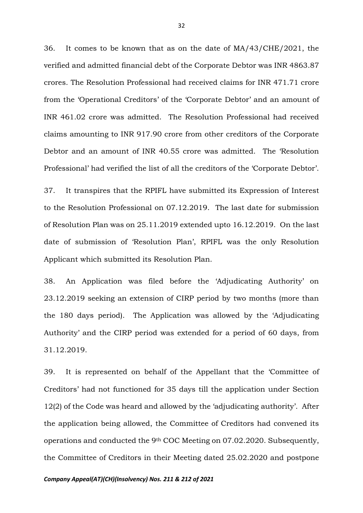36. It comes to be known that as on the date of MA/43/CHE/2021, the verified and admitted financial debt of the Corporate Debtor was INR 4863.87 crores. The Resolution Professional had received claims for INR 471.71 crore from the 'Operational Creditors' of the 'Corporate Debtor' and an amount of INR 461.02 crore was admitted. The Resolution Professional had received claims amounting to INR 917.90 crore from other creditors of the Corporate Debtor and an amount of INR 40.55 crore was admitted. The 'Resolution Professional' had verified the list of all the creditors of the 'Corporate Debtor'.

37. It transpires that the RPIFL have submitted its Expression of Interest to the Resolution Professional on 07.12.2019. The last date for submission of Resolution Plan was on 25.11.2019 extended upto 16.12.2019. On the last date of submission of 'Resolution Plan', RPIFL was the only Resolution Applicant which submitted its Resolution Plan.

38. An Application was filed before the 'Adjudicating Authority' on 23.12.2019 seeking an extension of CIRP period by two months (more than the 180 days period). The Application was allowed by the 'Adjudicating Authority' and the CIRP period was extended for a period of 60 days, from 31.12.2019.

39. It is represented on behalf of the Appellant that the 'Committee of Creditors' had not functioned for 35 days till the application under Section 12(2) of the Code was heard and allowed by the 'adjudicating authority'. After the application being allowed, the Committee of Creditors had convened its operations and conducted the 9th COC Meeting on 07.02.2020. Subsequently, the Committee of Creditors in their Meeting dated 25.02.2020 and postpone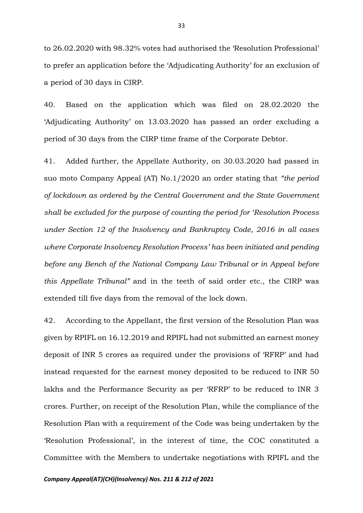to 26.02.2020 with 98.32% votes had authorised the 'Resolution Professional' to prefer an application before the 'Adjudicating Authority' for an exclusion of a period of 30 days in CIRP.

40. Based on the application which was filed on 28.02.2020 the 'Adjudicating Authority' on 13.03.2020 has passed an order excluding a period of 30 days from the CIRP time frame of the Corporate Debtor.

41. Added further, the Appellate Authority, on 30.03.2020 had passed in suo moto Company Appeal (AT) No.1/2020 an order stating that *"the period of lockdown as ordered by the Central Government and the State Government shall be excluded for the purpose of counting the period for 'Resolution Process under Section 12 of the Insolvency and Bankruptcy Code, 2016 in all cases where Corporate Insolvency Resolution Process' has been initiated and pending before any Bench of the National Company Law Tribunal or in Appeal before this Appellate Tribunal"* and in the teeth of said order etc., the CIRP was extended till five days from the removal of the lock down.

42. According to the Appellant, the first version of the Resolution Plan was given by RPIFL on 16.12.2019 and RPIFL had not submitted an earnest money deposit of INR 5 crores as required under the provisions of 'RFRP' and had instead requested for the earnest money deposited to be reduced to INR 50 lakhs and the Performance Security as per 'RFRP' to be reduced to INR 3 crores. Further, on receipt of the Resolution Plan, while the compliance of the Resolution Plan with a requirement of the Code was being undertaken by the 'Resolution Professional', in the interest of time, the COC constituted a Committee with the Members to undertake negotiations with RPIFL and the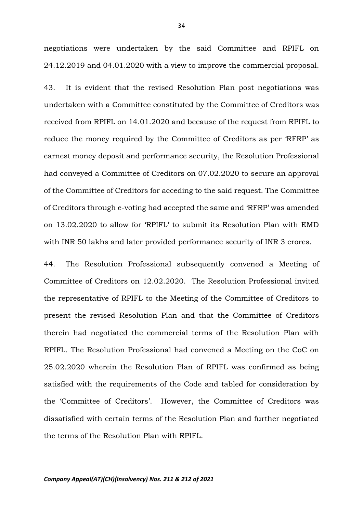negotiations were undertaken by the said Committee and RPIFL on 24.12.2019 and 04.01.2020 with a view to improve the commercial proposal.

43. It is evident that the revised Resolution Plan post negotiations was undertaken with a Committee constituted by the Committee of Creditors was received from RPIFL on 14.01.2020 and because of the request from RPIFL to reduce the money required by the Committee of Creditors as per 'RFRP' as earnest money deposit and performance security, the Resolution Professional had conveyed a Committee of Creditors on 07.02.2020 to secure an approval of the Committee of Creditors for acceding to the said request. The Committee of Creditors through e-voting had accepted the same and 'RFRP' was amended on 13.02.2020 to allow for 'RPIFL' to submit its Resolution Plan with EMD with INR 50 lakhs and later provided performance security of INR 3 crores.

44. The Resolution Professional subsequently convened a Meeting of Committee of Creditors on 12.02.2020. The Resolution Professional invited the representative of RPIFL to the Meeting of the Committee of Creditors to present the revised Resolution Plan and that the Committee of Creditors therein had negotiated the commercial terms of the Resolution Plan with RPIFL. The Resolution Professional had convened a Meeting on the CoC on 25.02.2020 wherein the Resolution Plan of RPIFL was confirmed as being satisfied with the requirements of the Code and tabled for consideration by the 'Committee of Creditors'. However, the Committee of Creditors was dissatisfied with certain terms of the Resolution Plan and further negotiated the terms of the Resolution Plan with RPIFL.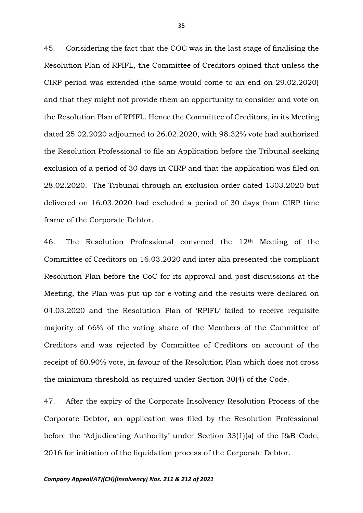45. Considering the fact that the COC was in the last stage of finalising the Resolution Plan of RPIFL, the Committee of Creditors opined that unless the CIRP period was extended (the same would come to an end on 29.02.2020) and that they might not provide them an opportunity to consider and vote on the Resolution Plan of RPIFL. Hence the Committee of Creditors, in its Meeting dated 25.02.2020 adjourned to 26.02.2020, with 98.32% vote had authorised the Resolution Professional to file an Application before the Tribunal seeking exclusion of a period of 30 days in CIRP and that the application was filed on 28.02.2020. The Tribunal through an exclusion order dated 1303.2020 but delivered on 16.03.2020 had excluded a period of 30 days from CIRP time frame of the Corporate Debtor.

46. The Resolution Professional convened the 12th Meeting of the Committee of Creditors on 16.03.2020 and inter alia presented the compliant Resolution Plan before the CoC for its approval and post discussions at the Meeting, the Plan was put up for e-voting and the results were declared on 04.03.2020 and the Resolution Plan of 'RPIFL' failed to receive requisite majority of 66% of the voting share of the Members of the Committee of Creditors and was rejected by Committee of Creditors on account of the receipt of 60.90% vote, in favour of the Resolution Plan which does not cross the minimum threshold as required under Section 30(4) of the Code.

47. After the expiry of the Corporate Insolvency Resolution Process of the Corporate Debtor, an application was filed by the Resolution Professional before the 'Adjudicating Authority' under Section 33(1)(a) of the I&B Code, 2016 for initiation of the liquidation process of the Corporate Debtor.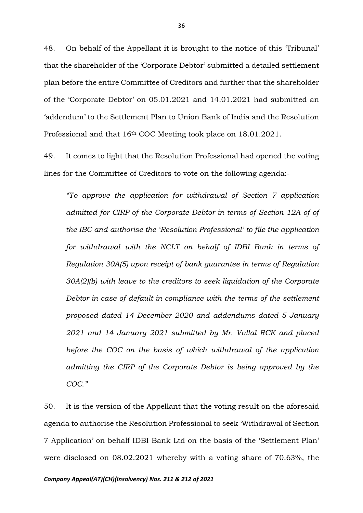48. On behalf of the Appellant it is brought to the notice of this 'Tribunal' that the shareholder of the 'Corporate Debtor' submitted a detailed settlement plan before the entire Committee of Creditors and further that the shareholder of the 'Corporate Debtor' on 05.01.2021 and 14.01.2021 had submitted an 'addendum' to the Settlement Plan to Union Bank of India and the Resolution Professional and that 16th COC Meeting took place on 18.01.2021.

49. It comes to light that the Resolution Professional had opened the voting lines for the Committee of Creditors to vote on the following agenda:-

*"To approve the application for withdrawal of Section 7 application*  admitted for CIRP of the Corporate Debtor in terms of Section 12A of of *the IBC and authorise the 'Resolution Professional' to file the application for withdrawal with the NCLT on behalf of IDBI Bank in terms of Regulation 30A(5) upon receipt of bank guarantee in terms of Regulation 30A(2)(b) with leave to the creditors to seek liquidation of the Corporate Debtor in case of default in compliance with the terms of the settlement proposed dated 14 December 2020 and addendums dated 5 January 2021 and 14 January 2021 submitted by Mr. Vallal RCK and placed before the COC on the basis of which withdrawal of the application admitting the CIRP of the Corporate Debtor is being approved by the COC."* 

50. It is the version of the Appellant that the voting result on the aforesaid agenda to authorise the Resolution Professional to seek 'Withdrawal of Section 7 Application' on behalf IDBI Bank Ltd on the basis of the 'Settlement Plan' were disclosed on 08.02.2021 whereby with a voting share of 70.63%, the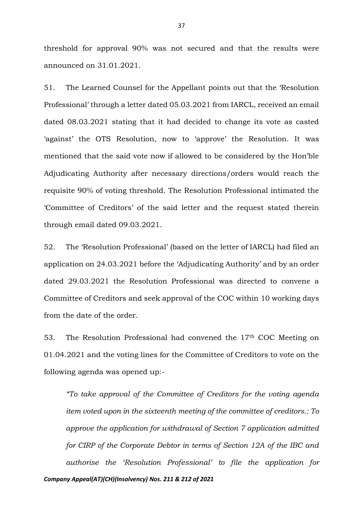threshold for approval 90% was not secured and that the results were announced on 31.01.2021.

51. The Learned Counsel for the Appellant points out that the 'Resolution Professional' through a letter dated 05.03.2021 from IARCL, received an email dated 08.03.2021 stating that it had decided to change its vote as casted 'against' the OTS Resolution, now to 'approve' the Resolution. It was mentioned that the said vote now if allowed to be considered by the Hon'ble Adjudicating Authority after necessary directions/orders would reach the requisite 90% of voting threshold. The Resolution Professional intimated the 'Committee of Creditors' of the said letter and the request stated therein through email dated 09.03.2021.

52. The 'Resolution Professional' (based on the letter of IARCL) had filed an application on 24.03.2021 before the 'Adjudicating Authority' and by an order dated 29.03.2021 the Resolution Professional was directed to convene a Committee of Creditors and seek approval of the COC within 10 working days from the date of the order.

53. The Resolution Professional had convened the 17th COC Meeting on 01.04.2021 and the voting lines for the Committee of Creditors to vote on the following agenda was opened up:-

*Company Appeal(AT)(CH)(Insolvency) Nos. 211 & 212 of 2021 "To take approval of the Committee of Creditors for the voting agenda item voted upon in the sixteenth meeting of the committee of creditors.: To approve the application for withdrawal of Section 7 application admitted for CIRP of the Corporate Debtor in terms of Section 12A of the IBC and authorise the 'Resolution Professional' to file the application for*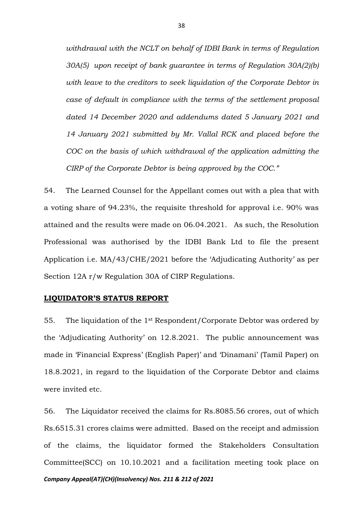*withdrawal with the NCLT on behalf of IDBI Bank in terms of Regulation 30A(5) upon receipt of bank guarantee in terms of Regulation 30A(2)(b) with leave to the creditors to seek liquidation of the Corporate Debtor in case of default in compliance with the terms of the settlement proposal dated 14 December 2020 and addendums dated 5 January 2021 and 14 January 2021 submitted by Mr. Vallal RCK and placed before the COC on the basis of which withdrawal of the application admitting the CIRP of the Corporate Debtor is being approved by the COC."* 

54. The Learned Counsel for the Appellant comes out with a plea that with a voting share of 94.23%, the requisite threshold for approval i.e. 90% was attained and the results were made on 06.04.2021. As such, the Resolution Professional was authorised by the IDBI Bank Ltd to file the present Application i.e. MA/43/CHE/2021 before the 'Adjudicating Authority' as per Section 12A r/w Regulation 30A of CIRP Regulations.

#### **LIQUIDATOR'S STATUS REPORT**

55. The liquidation of the 1st Respondent/Corporate Debtor was ordered by the 'Adjudicating Authority' on 12.8.2021. The public announcement was made in 'Financial Express' (English Paper)' and 'Dinamani' (Tamil Paper) on 18.8.2021, in regard to the liquidation of the Corporate Debtor and claims were invited etc.

*Company Appeal(AT)(CH)(Insolvency) Nos. 211 & 212 of 2021* 56. The Liquidator received the claims for Rs.8085.56 crores, out of which Rs.6515.31 crores claims were admitted. Based on the receipt and admission of the claims, the liquidator formed the Stakeholders Consultation Committee(SCC) on 10.10.2021 and a facilitation meeting took place on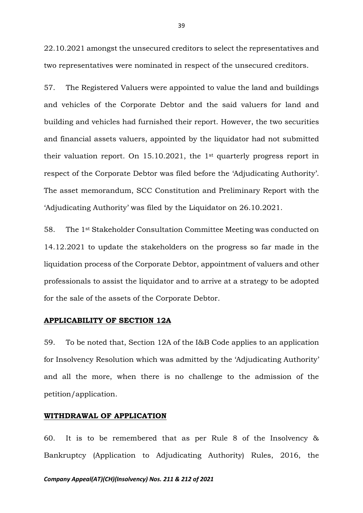22.10.2021 amongst the unsecured creditors to select the representatives and two representatives were nominated in respect of the unsecured creditors.

57. The Registered Valuers were appointed to value the land and buildings and vehicles of the Corporate Debtor and the said valuers for land and building and vehicles had furnished their report. However, the two securities and financial assets valuers, appointed by the liquidator had not submitted their valuation report. On 15.10.2021, the 1st quarterly progress report in respect of the Corporate Debtor was filed before the 'Adjudicating Authority'. The asset memorandum, SCC Constitution and Preliminary Report with the 'Adjudicating Authority' was filed by the Liquidator on 26.10.2021.

58. The 1st Stakeholder Consultation Committee Meeting was conducted on 14.12.2021 to update the stakeholders on the progress so far made in the liquidation process of the Corporate Debtor, appointment of valuers and other professionals to assist the liquidator and to arrive at a strategy to be adopted for the sale of the assets of the Corporate Debtor.

## **APPLICABILITY OF SECTION 12A**

59. To be noted that, Section 12A of the I&B Code applies to an application for Insolvency Resolution which was admitted by the 'Adjudicating Authority' and all the more, when there is no challenge to the admission of the petition/application.

### **WITHDRAWAL OF APPLICATION**

60. It is to be remembered that as per Rule 8 of the Insolvency & Bankruptcy (Application to Adjudicating Authority) Rules, 2016, the

#### *Company Appeal(AT)(CH)(Insolvency) Nos. 211 & 212 of 2021*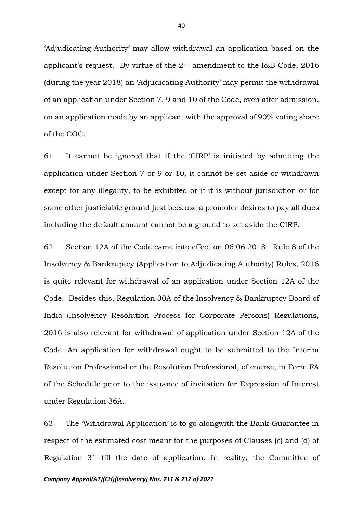'Adjudicating Authority' may allow withdrawal an application based on the applicant's request. By virtue of the 2nd amendment to the I&B Code, 2016 (during the year 2018) an 'Adjudicating Authority' may permit the withdrawal of an application under Section 7, 9 and 10 of the Code, even after admission, on an application made by an applicant with the approval of 90% voting share of the COC.

61. It cannot be ignored that if the 'CIRP' is initiated by admitting the application under Section 7 or 9 or 10, it cannot be set aside or withdrawn except for any illegality, to be exhibited or if it is without jurisdiction or for some other justiciable ground just because a promoter desires to pay all dues including the default amount cannot be a ground to set aside the CIRP.

62. Section 12A of the Code came into effect on 06.06.2018. Rule 8 of the Insolvency & Bankruptcy (Application to Adjudicating Authority) Rules, 2016 is quite relevant for withdrawal of an application under Section 12A of the Code. Besides this, Regulation 30A of the Insolvency & Bankruptcy Board of India (Insolvency Resolution Process for Corporate Persons) Regulations, 2016 is also relevant for withdrawal of application under Section 12A of the Code. An application for withdrawal ought to be submitted to the Interim Resolution Professional or the Resolution Professional, of course, in Form FA of the Schedule prior to the issuance of invitation for Expression of Interest under Regulation 36A.

63. The 'Withdrawal Application' is to go alongwith the Bank Guarantee in respect of the estimated cost meant for the purposes of Clauses (c) and (d) of Regulation 31 till the date of application. In reality, the Committee of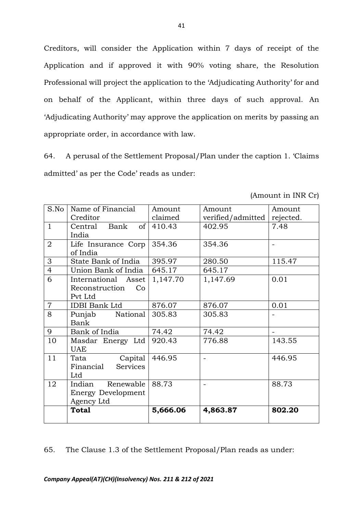Creditors, will consider the Application within 7 days of receipt of the Application and if approved it with 90% voting share, the Resolution Professional will project the application to the 'Adjudicating Authority' for and on behalf of the Applicant, within three days of such approval. An 'Adjudicating Authority' may approve the application on merits by passing an appropriate order, in accordance with law.

64. A perusal of the Settlement Proposal/Plan under the caption 1. 'Claims admitted' as per the Code' reads as under:

|                | <b>Total</b>                                                   | 5,666.06 | 4,863.87                 | 802.20    |
|----------------|----------------------------------------------------------------|----------|--------------------------|-----------|
| 12             | Renewable<br>Indian<br><b>Energy Development</b><br>Agency Ltd | 88.73    |                          | 88.73     |
| 11             | Capital<br>Tata<br>Financial<br><b>Services</b><br>Ltd         | 446.95   | $\overline{\phantom{a}}$ | 446.95    |
| 10             | Masdar Energy Ltd<br><b>UAE</b>                                | 920.43   | 776.88                   | 143.55    |
| 9              | Bank of India                                                  | 74.42    | 74.42                    |           |
| 8              | National<br>Punjab<br>Bank                                     | 305.83   | 305.83                   |           |
| $\overline{7}$ | <b>IDBI</b> Bank Ltd                                           | 876.07   | 876.07                   | 0.01      |
| 6              | International Asset<br>Reconstruction<br>Co<br>Pvt Ltd         | 1,147.70 | 1,147.69                 | 0.01      |
| $\overline{4}$ | Union Bank of India                                            | 645.17   | 645.17                   |           |
| 3              | State Bank of India                                            | 395.97   | 280.50                   | 115.47    |
| $\overline{2}$ | Life Insurance Corp<br>of India                                | 354.36   | 354.36                   |           |
| $\mathbf{1}$   | of <sub>1</sub><br>Bank<br>Central<br>India                    | 410.43   | 402.95                   | 7.48      |
|                | Creditor                                                       | claimed  | verified/admitted        | rejected. |
| S.No           | Name of Financial                                              | Amount   | Amount                   | Amount    |

(Amount in INR Cr)

65. The Clause 1.3 of the Settlement Proposal/Plan reads as under: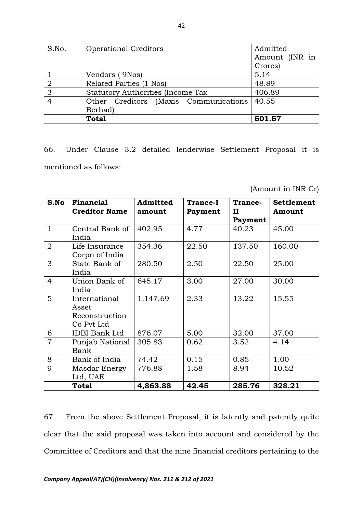| S.No.          | <b>Operational Creditors</b>             | Admitted       |  |
|----------------|------------------------------------------|----------------|--|
|                |                                          | Amount (INR in |  |
|                |                                          | Crores)        |  |
|                | Vendors (9Nos)                           | 5.14           |  |
| $\overline{2}$ | Related Parties (1 Nos)                  | 48.89          |  |
| 3              | <b>Statutory Authorities (Income Tax</b> | 406.89         |  |
| $\overline{4}$ | Other Creditors )Maxis Communications    | 40.55          |  |
|                | Berhad)                                  |                |  |
|                | <b>Total</b>                             | 501.57         |  |

66. Under Clause 3.2 detailed lenderwise Settlement Proposal it is mentioned as follows:

(Amount in INR Cr)

| S.No           | Financial<br><b>Creditor Name</b>                      | Admitted<br>amount | <b>Trance-I</b><br>Payment | Trance-<br>П<br>Payment | <b>Settlement</b><br>Amount |
|----------------|--------------------------------------------------------|--------------------|----------------------------|-------------------------|-----------------------------|
| $\mathbf{1}$   | Central Bank of<br>India                               | 402.95             | 4.77                       | 40.23                   | 45.00                       |
| $\overline{2}$ | Life Insurance<br>Corpn of India                       | 354.36             | 22.50                      | 137.50                  | 160.00                      |
| 3              | State Bank of<br>India                                 | 280.50             | 2.50                       | 22.50                   | 25.00                       |
| $\overline{4}$ | Union Bank of<br>India                                 | 645.17             | 3.00                       | 27.00                   | 30.00                       |
| $5^{\circ}$    | International<br>Asset<br>Reconstruction<br>Co Pvt Ltd | 1,147.69           | 2.33                       | 13.22                   | 15.55                       |
| 6              | <b>IDBI Bank Ltd</b>                                   | 876.07             | 5.00                       | 32.00                   | 37.00                       |
| $\overline{7}$ | Punjab National<br>Bank                                | 305.83             | 0.62                       | 3.52                    | 4.14                        |
| 8              | Bank of India                                          | 74.42              | 0.15                       | 0.85                    | 1.00                        |
| 9              | Masdar Energy<br>Ltd, UAE                              | 776.88             | 1.58                       | 8.94                    | 10.52                       |
|                | Total                                                  | 4,863.88           | 42.45                      | 285.76                  | 328.21                      |

67. From the above Settlement Proposal, it is latently and patently quite clear that the said proposal was taken into account and considered by the Committee of Creditors and that the nine financial creditors pertaining to the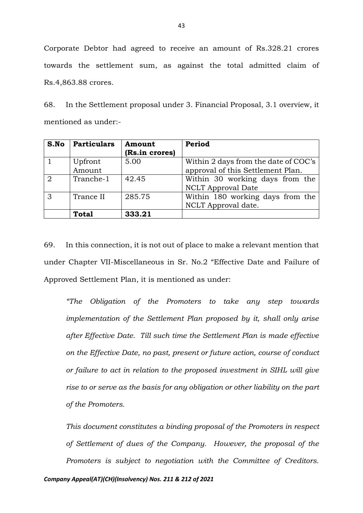Corporate Debtor had agreed to receive an amount of Rs.328.21 crores towards the settlement sum, as against the total admitted claim of Rs.4,863.88 crores.

68. In the Settlement proposal under 3. Financial Proposal, 3.1 overview, it mentioned as under:-

| S.No           | <b>Particulars</b> | Amount         | Period                               |
|----------------|--------------------|----------------|--------------------------------------|
|                |                    | (Rs.in crores) |                                      |
|                | Upfront            | 5.00           | Within 2 days from the date of COC's |
|                | Amount             |                | approval of this Settlement Plan.    |
| $\overline{2}$ | Tranche-1          | 42.45          | Within 30 working days from the      |
|                |                    |                | <b>NCLT</b> Approval Date            |
| 3              | Trance II          | 285.75         | Within 180 working days from the     |
|                |                    |                | NCLT Approval date.                  |
|                | <b>Total</b>       | 333.21         |                                      |

69. In this connection, it is not out of place to make a relevant mention that under Chapter VII-Miscellaneous in Sr. No.2 "Effective Date and Failure of Approved Settlement Plan, it is mentioned as under:

*"The Obligation of the Promoters to take any step towards implementation of the Settlement Plan proposed by it, shall only arise after Effective Date. Till such time the Settlement Plan is made effective on the Effective Date, no past, present or future action, course of conduct or failure to act in relation to the proposed investment in SIHL will give rise to or serve as the basis for any obligation or other liability on the part of the Promoters.*

*This document constitutes a binding proposal of the Promoters in respect of Settlement of dues of the Company. However, the proposal of the Promoters is subject to negotiation with the Committee of Creditors.*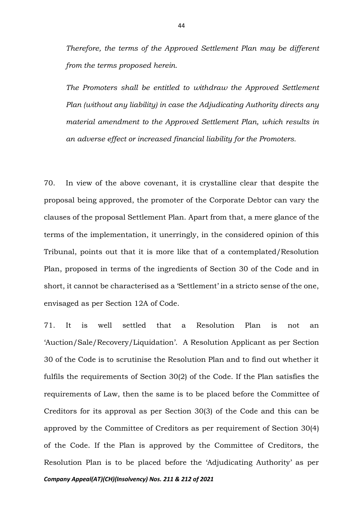*Therefore, the terms of the Approved Settlement Plan may be different from the terms proposed herein.*

*The Promoters shall be entitled to withdraw the Approved Settlement Plan (without any liability) in case the Adjudicating Authority directs any material amendment to the Approved Settlement Plan, which results in an adverse effect or increased financial liability for the Promoters.* 

70. In view of the above covenant, it is crystalline clear that despite the proposal being approved, the promoter of the Corporate Debtor can vary the clauses of the proposal Settlement Plan. Apart from that, a mere glance of the terms of the implementation, it unerringly, in the considered opinion of this Tribunal, points out that it is more like that of a contemplated/Resolution Plan, proposed in terms of the ingredients of Section 30 of the Code and in short, it cannot be characterised as a 'Settlement' in a stricto sense of the one, envisaged as per Section 12A of Code.

*Company Appeal(AT)(CH)(Insolvency) Nos. 211 & 212 of 2021* 71. It is well settled that a Resolution Plan is not an 'Auction/Sale/Recovery/Liquidation'. A Resolution Applicant as per Section 30 of the Code is to scrutinise the Resolution Plan and to find out whether it fulfils the requirements of Section 30(2) of the Code. If the Plan satisfies the requirements of Law, then the same is to be placed before the Committee of Creditors for its approval as per Section 30(3) of the Code and this can be approved by the Committee of Creditors as per requirement of Section 30(4) of the Code. If the Plan is approved by the Committee of Creditors, the Resolution Plan is to be placed before the 'Adjudicating Authority' as per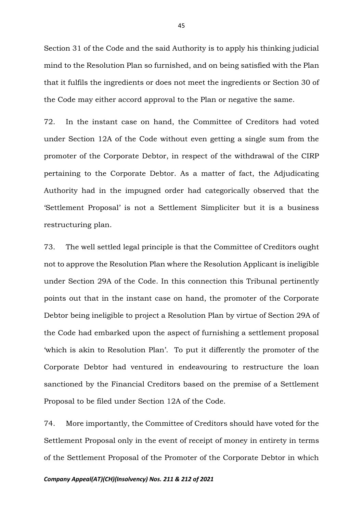Section 31 of the Code and the said Authority is to apply his thinking judicial mind to the Resolution Plan so furnished, and on being satisfied with the Plan that it fulfils the ingredients or does not meet the ingredients or Section 30 of the Code may either accord approval to the Plan or negative the same.

72. In the instant case on hand, the Committee of Creditors had voted under Section 12A of the Code without even getting a single sum from the promoter of the Corporate Debtor, in respect of the withdrawal of the CIRP pertaining to the Corporate Debtor. As a matter of fact, the Adjudicating Authority had in the impugned order had categorically observed that the 'Settlement Proposal' is not a Settlement Simpliciter but it is a business restructuring plan.

73. The well settled legal principle is that the Committee of Creditors ought not to approve the Resolution Plan where the Resolution Applicant is ineligible under Section 29A of the Code. In this connection this Tribunal pertinently points out that in the instant case on hand, the promoter of the Corporate Debtor being ineligible to project a Resolution Plan by virtue of Section 29A of the Code had embarked upon the aspect of furnishing a settlement proposal 'which is akin to Resolution Plan'. To put it differently the promoter of the Corporate Debtor had ventured in endeavouring to restructure the loan sanctioned by the Financial Creditors based on the premise of a Settlement Proposal to be filed under Section 12A of the Code.

74. More importantly, the Committee of Creditors should have voted for the Settlement Proposal only in the event of receipt of money in entirety in terms of the Settlement Proposal of the Promoter of the Corporate Debtor in which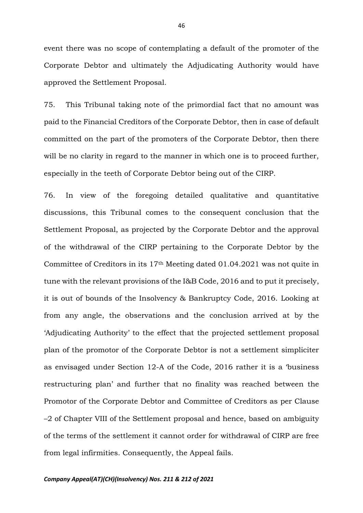event there was no scope of contemplating a default of the promoter of the Corporate Debtor and ultimately the Adjudicating Authority would have approved the Settlement Proposal.

75. This Tribunal taking note of the primordial fact that no amount was paid to the Financial Creditors of the Corporate Debtor, then in case of default committed on the part of the promoters of the Corporate Debtor, then there will be no clarity in regard to the manner in which one is to proceed further, especially in the teeth of Corporate Debtor being out of the CIRP.

76. In view of the foregoing detailed qualitative and quantitative discussions, this Tribunal comes to the consequent conclusion that the Settlement Proposal, as projected by the Corporate Debtor and the approval of the withdrawal of the CIRP pertaining to the Corporate Debtor by the Committee of Creditors in its 17th Meeting dated 01.04.2021 was not quite in tune with the relevant provisions of the I&B Code, 2016 and to put it precisely, it is out of bounds of the Insolvency & Bankruptcy Code, 2016. Looking at from any angle, the observations and the conclusion arrived at by the 'Adjudicating Authority' to the effect that the projected settlement proposal plan of the promotor of the Corporate Debtor is not a settlement simpliciter as envisaged under Section 12-A of the Code, 2016 rather it is a 'business restructuring plan' and further that no finality was reached between the Promotor of the Corporate Debtor and Committee of Creditors as per Clause –2 of Chapter VIII of the Settlement proposal and hence, based on ambiguity of the terms of the settlement it cannot order for withdrawal of CIRP are free from legal infirmities. Consequently, the Appeal fails.

#### *Company Appeal(AT)(CH)(Insolvency) Nos. 211 & 212 of 2021*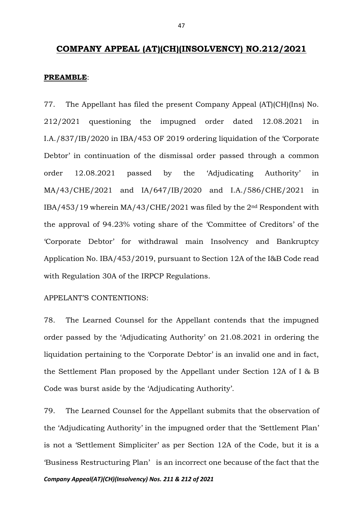## **COMPANY APPEAL (AT)(CH)(INSOLVENCY) NO.212/2021**

#### **PREAMBLE**:

77. The Appellant has filed the present Company Appeal (AT)(CH)(Ins) No. 212/2021 questioning the impugned order dated 12.08.2021 in I.A./837/IB/2020 in IBA/453 OF 2019 ordering liquidation of the 'Corporate Debtor' in continuation of the dismissal order passed through a common order 12.08.2021 passed by the 'Adjudicating Authority' in MA/43/CHE/2021 and IA/647/IB/2020 and I.A./586/CHE/2021 in IBA/453/19 wherein MA/43/CHE/2021 was filed by the 2nd Respondent with the approval of 94.23% voting share of the 'Committee of Creditors' of the 'Corporate Debtor' for withdrawal main Insolvency and Bankruptcy Application No. IBA/453/2019, pursuant to Section 12A of the I&B Code read with Regulation 30A of the IRPCP Regulations.

#### APPELANT'S CONTENTIONS:

78. The Learned Counsel for the Appellant contends that the impugned order passed by the 'Adjudicating Authority' on 21.08.2021 in ordering the liquidation pertaining to the 'Corporate Debtor' is an invalid one and in fact, the Settlement Plan proposed by the Appellant under Section 12A of I & B Code was burst aside by the 'Adjudicating Authority'.

79. The Learned Counsel for the Appellant submits that the observation of the 'Adjudicating Authority' in the impugned order that the 'Settlement Plan' is not a 'Settlement Simpliciter' as per Section 12A of the Code, but it is a 'Business Restructuring Plan' is an incorrect one because of the fact that the

*Company Appeal(AT)(CH)(Insolvency) Nos. 211 & 212 of 2021*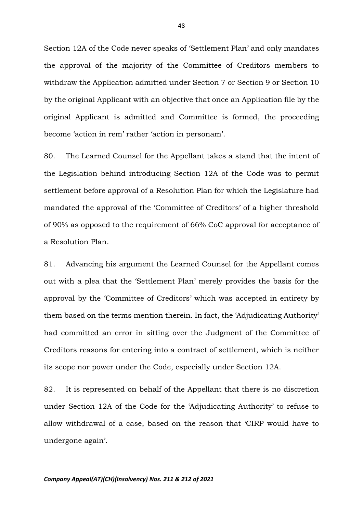Section 12A of the Code never speaks of 'Settlement Plan' and only mandates the approval of the majority of the Committee of Creditors members to withdraw the Application admitted under Section 7 or Section 9 or Section 10 by the original Applicant with an objective that once an Application file by the original Applicant is admitted and Committee is formed, the proceeding become 'action in rem' rather 'action in personam'.

80. The Learned Counsel for the Appellant takes a stand that the intent of the Legislation behind introducing Section 12A of the Code was to permit settlement before approval of a Resolution Plan for which the Legislature had mandated the approval of the 'Committee of Creditors' of a higher threshold of 90% as opposed to the requirement of 66% CoC approval for acceptance of a Resolution Plan.

81. Advancing his argument the Learned Counsel for the Appellant comes out with a plea that the 'Settlement Plan' merely provides the basis for the approval by the 'Committee of Creditors' which was accepted in entirety by them based on the terms mention therein. In fact, the 'Adjudicating Authority' had committed an error in sitting over the Judgment of the Committee of Creditors reasons for entering into a contract of settlement, which is neither its scope nor power under the Code, especially under Section 12A.

82. It is represented on behalf of the Appellant that there is no discretion under Section 12A of the Code for the 'Adjudicating Authority' to refuse to allow withdrawal of a case, based on the reason that 'CIRP would have to undergone again'.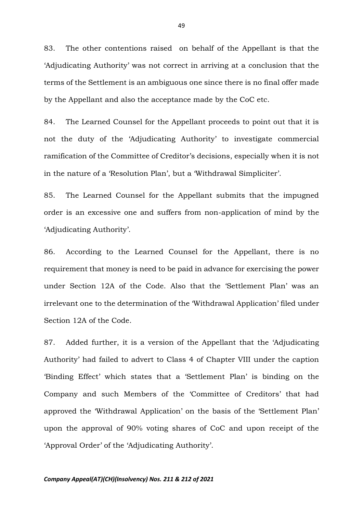83. The other contentions raised on behalf of the Appellant is that the 'Adjudicating Authority' was not correct in arriving at a conclusion that the terms of the Settlement is an ambiguous one since there is no final offer made by the Appellant and also the acceptance made by the CoC etc.

84. The Learned Counsel for the Appellant proceeds to point out that it is not the duty of the 'Adjudicating Authority' to investigate commercial ramification of the Committee of Creditor's decisions, especially when it is not in the nature of a 'Resolution Plan', but a 'Withdrawal Simpliciter'.

85. The Learned Counsel for the Appellant submits that the impugned order is an excessive one and suffers from non-application of mind by the 'Adjudicating Authority'.

86. According to the Learned Counsel for the Appellant, there is no requirement that money is need to be paid in advance for exercising the power under Section 12A of the Code. Also that the 'Settlement Plan' was an irrelevant one to the determination of the 'Withdrawal Application' filed under Section 12A of the Code.

87. Added further, it is a version of the Appellant that the 'Adjudicating Authority' had failed to advert to Class 4 of Chapter VIII under the caption 'Binding Effect' which states that a 'Settlement Plan' is binding on the Company and such Members of the 'Committee of Creditors' that had approved the 'Withdrawal Application' on the basis of the 'Settlement Plan' upon the approval of 90% voting shares of CoC and upon receipt of the 'Approval Order' of the 'Adjudicating Authority'.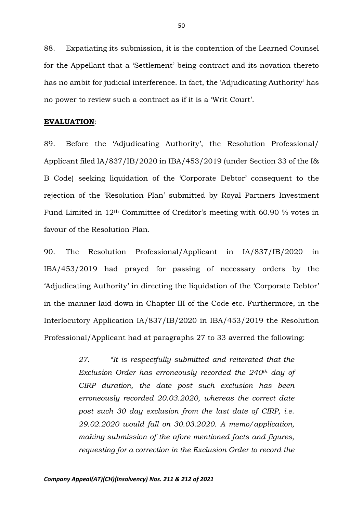88. Expatiating its submission, it is the contention of the Learned Counsel for the Appellant that a 'Settlement' being contract and its novation thereto has no ambit for judicial interference. In fact, the 'Adjudicating Authority' has no power to review such a contract as if it is a 'Writ Court'.

#### **EVALUATION**:

89. Before the 'Adjudicating Authority', the Resolution Professional/ Applicant filed IA/837/IB/2020 in IBA/453/2019 (under Section 33 of the I& B Code) seeking liquidation of the 'Corporate Debtor' consequent to the rejection of the 'Resolution Plan' submitted by Royal Partners Investment Fund Limited in 12th Committee of Creditor's meeting with 60.90 % votes in favour of the Resolution Plan.

90. The Resolution Professional/Applicant in IA/837/IB/2020 in IBA/453/2019 had prayed for passing of necessary orders by the 'Adjudicating Authority' in directing the liquidation of the 'Corporate Debtor' in the manner laid down in Chapter III of the Code etc. Furthermore, in the Interlocutory Application IA/837/IB/2020 in IBA/453/2019 the Resolution Professional/Applicant had at paragraphs 27 to 33 averred the following:

> *27. "It is respectfully submitted and reiterated that the Exclusion Order has erroneously recorded the 240th day of CIRP duration, the date post such exclusion has been erroneously recorded 20.03.2020, whereas the correct date post such 30 day exclusion from the last date of CIRP, i.e. 29.02.2020 would fall on 30.03.2020. A memo/application, making submission of the afore mentioned facts and figures, requesting for a correction in the Exclusion Order to record the*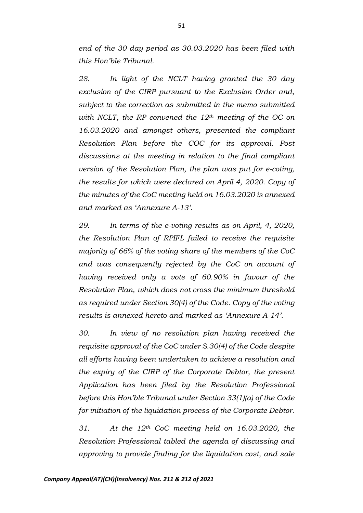*end of the 30 day period as 30.03.2020 has been filed with this Hon'ble Tribunal.* 

*28. In light of the NCLT having granted the 30 day exclusion of the CIRP pursuant to the Exclusion Order and, subject to the correction as submitted in the memo submitted with NCLT, the RP convened the 12th meeting of the OC on 16.03.2020 and amongst others, presented the compliant Resolution Plan before the COC for its approval. Post discussions at the meeting in relation to the final compliant version of the Resolution Plan, the plan was put for e-coting, the results for which were declared on April 4, 2020. Copy of the minutes of the CoC meeting held on 16.03.2020 is annexed and marked as 'Annexure A-13'.*

*29. In terms of the e-voting results as on April, 4, 2020, the Resolution Plan of RPIFL failed to receive the requisite majority of 66% of the voting share of the members of the CoC and was consequently rejected by the CoC on account of having received only a vote of 60.90% in favour of the Resolution Plan, which does not cross the minimum threshold as required under Section 30(4) of the Code. Copy of the voting results is annexed hereto and marked as 'Annexure A-14'.*

*30. In view of no resolution plan having received the requisite approval of the CoC under S.30(4) of the Code despite all efforts having been undertaken to achieve a resolution and the expiry of the CIRP of the Corporate Debtor, the present Application has been filed by the Resolution Professional before this Hon'ble Tribunal under Section 33(1)(a) of the Code for initiation of the liquidation process of the Corporate Debtor.* 

*31. At the 12th CoC meeting held on 16.03.2020, the Resolution Professional tabled the agenda of discussing and approving to provide finding for the liquidation cost, and sale*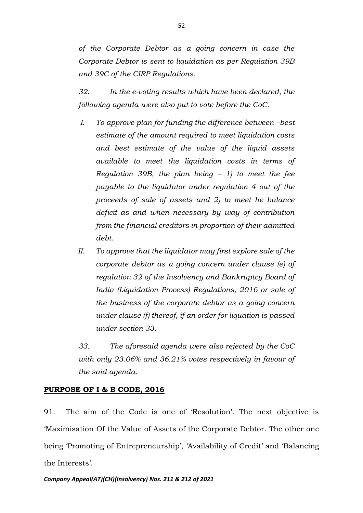*of the Corporate Debtor as a going concern in case the Corporate Debtor is sent to liquidation as per Regulation 39B and 39C of the CIRP Regulations.* 

*32. In the e-voting results which have been declared, the following agenda were also put to vote before the CoC.* 

- *I.* To approve plan for funding the difference between –best *estimate of the amount required to meet liquidation costs and best estimate of the value of the liquid assets available to meet the liquidation costs in terms of Regulation 39B, the plan being – 1) to meet the fee payable to the liquidator under regulation 4 out of the proceeds of sale of assets and 2) to meet he balance deficit as and when necessary by way of contribution from the financial creditors in proportion of their admitted debt.*
- *II. To approve that the liquidator may first explore sale of the corporate debtor as a going concern under clause (e) of regulation 32 of the Insolvency and Bankruptcy Board of India (Liquidation Process) Regulations, 2016 or sale of the business of the corporate debtor as a going concern under clause (f) thereof, if an order for liquation is passed under section 33.*

*33. The aforesaid agenda were also rejected by the CoC with only 23.06% and 36.21% votes respectively in favour of the said agenda.*

## **PURPOSE OF I & B CODE, 2016**

91. The aim of the Code is one of 'Resolution'. The next objective is 'Maximisation Of the Value of Assets of the Corporate Debtor. The other one being 'Promoting of Entrepreneurship', 'Availability of Credit' and 'Balancing the Interests'.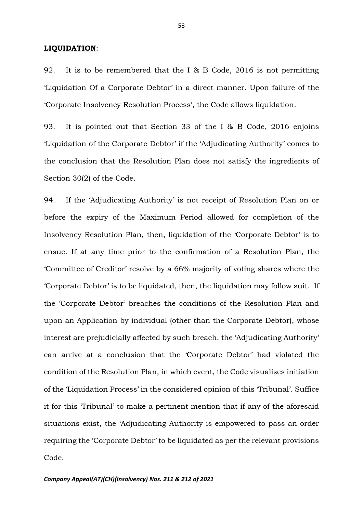#### **LIQUIDATION**:

92. It is to be remembered that the I & B Code, 2016 is not permitting 'Liquidation Of a Corporate Debtor' in a direct manner. Upon failure of the 'Corporate Insolvency Resolution Process', the Code allows liquidation.

93. It is pointed out that Section 33 of the I & B Code, 2016 enjoins 'Liquidation of the Corporate Debtor' if the 'Adjudicating Authority' comes to the conclusion that the Resolution Plan does not satisfy the ingredients of Section 30(2) of the Code.

94. If the 'Adjudicating Authority' is not receipt of Resolution Plan on or before the expiry of the Maximum Period allowed for completion of the Insolvency Resolution Plan, then, liquidation of the 'Corporate Debtor' is to ensue. If at any time prior to the confirmation of a Resolution Plan, the 'Committee of Creditor' resolve by a 66% majority of voting shares where the 'Corporate Debtor' is to be liquidated, then, the liquidation may follow suit. If the 'Corporate Debtor' breaches the conditions of the Resolution Plan and upon an Application by individual (other than the Corporate Debtor), whose interest are prejudicially affected by such breach, the 'Adjudicating Authority' can arrive at a conclusion that the 'Corporate Debtor' had violated the condition of the Resolution Plan, in which event, the Code visualises initiation of the 'Liquidation Process' in the considered opinion of this 'Tribunal'. Suffice it for this 'Tribunal' to make a pertinent mention that if any of the aforesaid situations exist, the 'Adjudicating Authority is empowered to pass an order requiring the 'Corporate Debtor' to be liquidated as per the relevant provisions Code.

53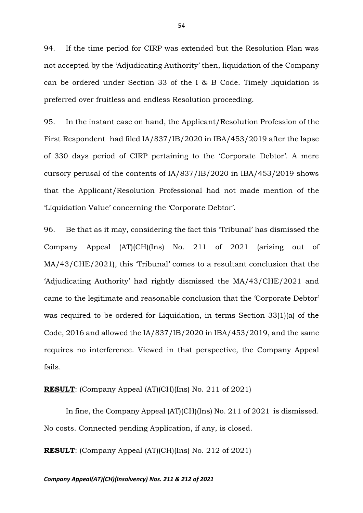94. If the time period for CIRP was extended but the Resolution Plan was not accepted by the 'Adjudicating Authority' then, liquidation of the Company can be ordered under Section 33 of the I & B Code. Timely liquidation is preferred over fruitless and endless Resolution proceeding.

95. In the instant case on hand, the Applicant/Resolution Profession of the First Respondent had filed IA/837/IB/2020 in IBA/453/2019 after the lapse of 330 days period of CIRP pertaining to the 'Corporate Debtor'. A mere cursory perusal of the contents of IA/837/IB/2020 in IBA/453/2019 shows that the Applicant/Resolution Professional had not made mention of the 'Liquidation Value' concerning the 'Corporate Debtor'.

96. Be that as it may, considering the fact this 'Tribunal' has dismissed the Company Appeal (AT)(CH)(Ins) No. 211 of 2021 (arising out of MA/43/CHE/2021), this 'Tribunal' comes to a resultant conclusion that the 'Adjudicating Authority' had rightly dismissed the MA/43/CHE/2021 and came to the legitimate and reasonable conclusion that the 'Corporate Debtor' was required to be ordered for Liquidation, in terms Section 33(1)(a) of the Code, 2016 and allowed the IA/837/IB/2020 in IBA/453/2019, and the same requires no interference. Viewed in that perspective, the Company Appeal fails.

**RESULT**: (Company Appeal (AT)(CH)(Ins) No. 211 of 2021)

In fine, the Company Appeal (AT)(CH)(Ins) No. 211 of 2021 is dismissed. No costs. Connected pending Application, if any, is closed.

**RESULT**: (Company Appeal (AT)(CH)(Ins) No. 212 of 2021)